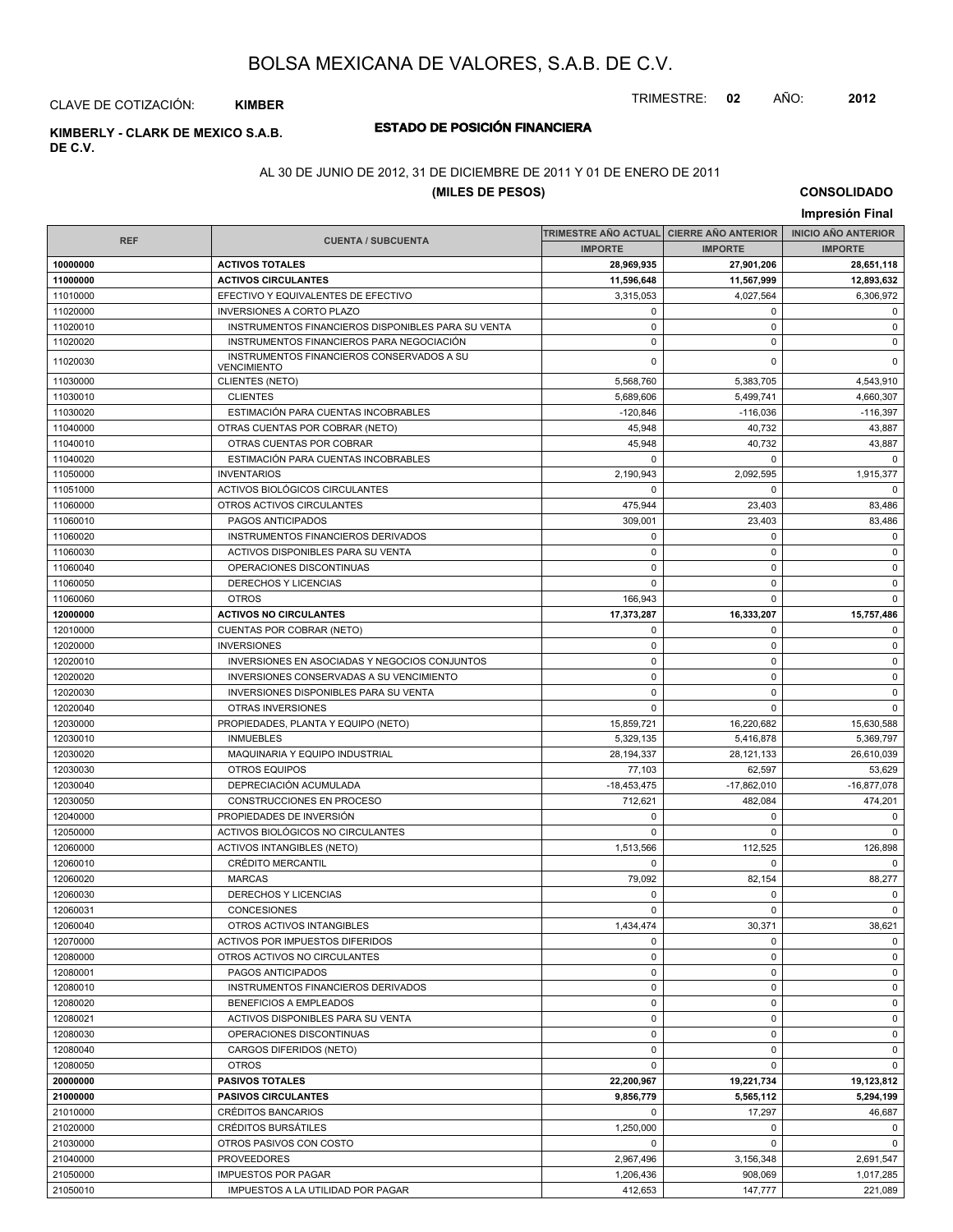TRIMESTRE: **02** AÑO: **2012**

#### CLAVE DE COTIZACIÓN: **KIMBER**

## **DE C.V.**

### **ESTADO DE POSICIÓN FINANCIERA KIMBERLY - CLARK DE MEXICO S.A.B.**

#### AL 30 DE JUNIO DE 2012, 31 DE DICIEMBRE DE 2011 Y 01 DE ENERO DE 2011

#### **(MILES DE PESOS)**

**CONSOLIDADO Impresión Final**

|                      |                                                               |                  | TRIMESTRE AÑO ACTUAL CIERRE AÑO ANTERIOR | <b>INICIO AÑO ANTERIOR</b> |
|----------------------|---------------------------------------------------------------|------------------|------------------------------------------|----------------------------|
| <b>REF</b>           | <b>CUENTA / SUBCUENTA</b>                                     | <b>IMPORTE</b>   | <b>IMPORTE</b>                           | <b>IMPORTE</b>             |
| 10000000             | <b>ACTIVOS TOTALES</b>                                        | 28,969,935       | 27,901,206                               | 28,651,118                 |
| 11000000             | <b>ACTIVOS CIRCULANTES</b>                                    | 11,596,648       | 11,567,999                               | 12,893,632                 |
| 11010000             | EFECTIVO Y EQUIVALENTES DE EFECTIVO                           | 3,315,053        | 4,027,564                                | 6,306,972                  |
| 11020000             | <b>INVERSIONES A CORTO PLAZO</b>                              | 0                | 0                                        | $\mathbf 0$                |
| 11020010             | INSTRUMENTOS FINANCIEROS DISPONIBLES PARA SU VENTA            | $\mathbf 0$      | $\mathbf 0$                              | $\mathsf 0$                |
| 11020020             | INSTRUMENTOS FINANCIEROS PARA NEGOCIACIÓN                     | $\mathbf 0$      | $\Omega$                                 | $\mathbf 0$                |
| 11020030             | INSTRUMENTOS FINANCIEROS CONSERVADOS A SU                     | $\mathbf 0$      | $\Omega$                                 | $\mathbf 0$                |
|                      | <b>VENCIMIENTO</b>                                            |                  |                                          |                            |
| 11030000             | CLIENTES (NETO)                                               | 5,568,760        | 5,383,705                                | 4,543,910                  |
| 11030010             | <b>CLIENTES</b>                                               | 5,689,606        | 5,499,741                                | 4,660,307                  |
| 11030020             | ESTIMACIÓN PARA CUENTAS INCOBRABLES                           | $-120,846$       | $-116,036$                               | $-116,397$                 |
| 11040000             | OTRAS CUENTAS POR COBRAR (NETO)                               | 45,948           | 40,732                                   | 43,887                     |
| 11040010             | OTRAS CUENTAS POR COBRAR                                      | 45,948           | 40,732                                   | 43,887                     |
| 11040020             | ESTIMACIÓN PARA CUENTAS INCOBRABLES                           | $\mathbf 0$      | $\mathbf 0$                              | $\Omega$                   |
| 11050000             | <b>INVENTARIOS</b>                                            | 2,190,943        | 2,092,595                                | 1,915,377                  |
| 11051000             | ACTIVOS BIOLÓGICOS CIRCULANTES                                | $\mathbf 0$      | 0                                        | $\Omega$                   |
| 11060000             | OTROS ACTIVOS CIRCULANTES                                     | 475,944          | 23,403                                   | 83,486                     |
| 11060010             | PAGOS ANTICIPADOS                                             | 309,001          | 23,403                                   | 83,486                     |
| 11060020             | INSTRUMENTOS FINANCIEROS DERIVADOS                            | 0                | 0                                        | $\mathbf 0$                |
| 11060030             | ACTIVOS DISPONIBLES PARA SU VENTA                             | $\pmb{0}$        | 0                                        | $\mathbf 0$                |
| 11060040             | OPERACIONES DISCONTINUAS                                      | $\mathbf 0$      | $\mathbf 0$                              | 0                          |
| 11060050             | DERECHOS Y LICENCIAS                                          | $\mathbf 0$      | 0                                        | $\mathbf 0$                |
| 11060060             | <b>OTROS</b>                                                  | 166.943          | $\mathbf 0$                              | $\mathbf 0$                |
| 12000000             | <b>ACTIVOS NO CIRCULANTES</b>                                 | 17,373,287       | 16,333,207                               | 15,757,486                 |
| 12010000             | CUENTAS POR COBRAR (NETO)                                     | 0                | 0                                        | $\mathbf 0$                |
| 12020000             | <b>INVERSIONES</b>                                            | $\mathbf 0$      | $\mathbf 0$                              | $\mathbf 0$                |
| 12020010             | INVERSIONES EN ASOCIADAS Y NEGOCIOS CONJUNTOS                 | $\mathbf 0$      | $\mathbf 0$                              | 0                          |
| 12020020             | INVERSIONES CONSERVADAS A SU VENCIMIENTO                      | $\mathbf 0$      | 0                                        | $\mathbf 0$                |
| 12020030             | <b>INVERSIONES DISPONIBLES PARA SU VENTA</b>                  | $\mathbf 0$      | 0                                        | $\mathbf 0$                |
| 12020040             | OTRAS INVERSIONES                                             | $\mathbf 0$      | $\mathbf 0$                              | $\mathbf 0$                |
| 12030000             | PROPIEDADES, PLANTA Y EQUIPO (NETO)                           | 15,859,721       | 16,220,682                               | 15,630,588                 |
| 12030010             | <b>INMUEBLES</b>                                              | 5,329,135        | 5,416,878                                | 5,369,797                  |
| 12030020             | MAQUINARIA Y EQUIPO INDUSTRIAL                                | 28,194,337       | 28,121,133                               | 26,610,039                 |
| 12030030             | <b>OTROS EQUIPOS</b>                                          | 77,103           | 62,597                                   | 53,629                     |
| 12030040             | DEPRECIACIÓN ACUMULADA                                        | $-18,453,475$    | $-17,862,010$                            | $-16,877,078$              |
| 12030050             | CONSTRUCCIONES EN PROCESO                                     | 712,621          | 482,084                                  | 474,201                    |
| 12040000             | PROPIEDADES DE INVERSIÓN                                      | $\mathbf 0$      | 0                                        | $\mathbf 0$<br>$\mathbf 0$ |
| 12050000             | ACTIVOS BIOLÓGICOS NO CIRCULANTES                             | $\mathbf 0$      | 0                                        |                            |
| 12060000             | <b>ACTIVOS INTANGIBLES (NETO)</b><br><b>CRÉDITO MERCANTIL</b> | 1,513,566        | 112,525                                  | 126,898                    |
| 12060010             |                                                               | $\mathbf 0$      | 0                                        | $\mathbf 0$                |
| 12060020             | <b>MARCAS</b><br>DERECHOS Y LICENCIAS                         | 79,092           | 82,154                                   | 88,277<br>$\mathbf 0$      |
| 12060030<br>12060031 | <b>CONCESIONES</b>                                            | 0<br>$\mathbf 0$ | 0<br>$\mathbf 0$                         | $\mathbf 0$                |
|                      |                                                               |                  |                                          |                            |
| 12060040             | OTROS ACTIVOS INTANGIBLES                                     | 1,434,474<br>0   | 30,371                                   | 38,621<br>$\mathbf 0$      |
| 12070000<br>12080000 | ACTIVOS POR IMPUESTOS DIFERIDOS                               | $\mathbf 0$      | 0<br>0                                   |                            |
| 12080001             | OTROS ACTIVOS NO CIRCULANTES                                  | 0                |                                          | $\mathbf 0$<br>$\mathbf 0$ |
| 12080010             | PAGOS ANTICIPADOS<br>INSTRUMENTOS FINANCIEROS DERIVADOS       | 0                | 0<br>0                                   | $\mathbf 0$                |
| 12080020             | <b>BENEFICIOS A EMPLEADOS</b>                                 | $\mathbf 0$      | 0                                        | $\mathbf 0$                |
| 12080021             |                                                               | $\mathbf 0$      | $\mathbf 0$                              |                            |
| 12080030             | ACTIVOS DISPONIBLES PARA SU VENTA<br>OPERACIONES DISCONTINUAS | $\mathbf 0$      | 0                                        | $\mathbf 0$<br>0           |
|                      |                                                               | $\mathbf 0$      |                                          |                            |
| 12080040<br>12080050 | CARGOS DIFERIDOS (NETO)                                       | $\mathbf 0$      | 0<br>0                                   | $\mathbf 0$<br>$\mathbf 0$ |
| 20000000             | <b>OTROS</b><br><b>PASIVOS TOTALES</b>                        | 22,200,967       | 19,221,734                               | 19,123,812                 |
| 21000000             | <b>PASIVOS CIRCULANTES</b>                                    | 9,856,779        | 5,565,112                                |                            |
| 21010000             | CRÉDITOS BANCARIOS                                            | 0                |                                          | 5,294,199<br>46,687        |
| 21020000             | <b>CRÉDITOS BURSÁTILES</b>                                    | 1,250,000        | 17,297<br>0                              | $\mathbf 0$                |
| 21030000             | OTROS PASIVOS CON COSTO                                       | $\mathbf 0$      | 0                                        | $\mathbf 0$                |
| 21040000             | <b>PROVEEDORES</b>                                            | 2,967,496        | 3,156,348                                | 2,691,547                  |
| 21050000             | <b>IMPUESTOS POR PAGAR</b>                                    | 1,206,436        | 908,069                                  | 1,017,285                  |
| 21050010             | IMPUESTOS A LA UTILIDAD POR PAGAR                             | 412,653          | 147,777                                  | 221,089                    |
|                      |                                                               |                  |                                          |                            |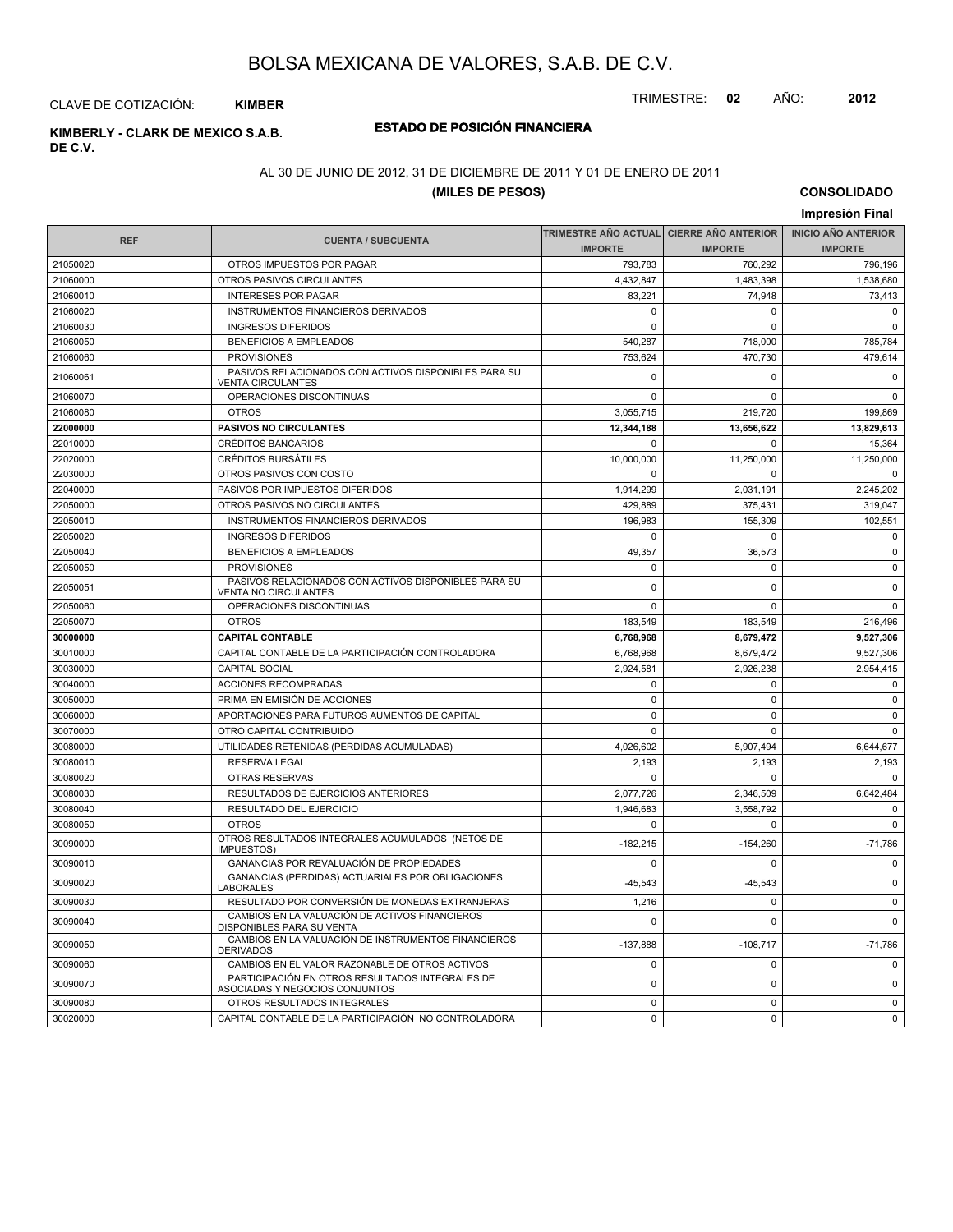TRIMESTRE: **02** AÑO: **2012**

#### CLAVE DE COTIZACIÓN: **KIMBER**

## **DE C.V.**

### **ESTADO DE POSICIÓN FINANCIERA KIMBERLY - CLARK DE MEXICO S.A.B.**

#### AL 30 DE JUNIO DE 2012, 31 DE DICIEMBRE DE 2011 Y 01 DE ENERO DE 2011

### **(MILES DE PESOS)**

**CONSOLIDADO Impresión Final**

|            |                                                                                     | TRIMESTRE AÑO ACTUAL CIERRE AÑO ANTERIOR |                | <b>INICIO AÑO ANTERIOR</b> |
|------------|-------------------------------------------------------------------------------------|------------------------------------------|----------------|----------------------------|
| <b>REF</b> | <b>CUENTA / SUBCUENTA</b>                                                           | <b>IMPORTE</b>                           | <b>IMPORTE</b> | <b>IMPORTE</b>             |
| 21050020   | OTROS IMPUESTOS POR PAGAR                                                           | 793,783                                  | 760,292        | 796,196                    |
| 21060000   | OTROS PASIVOS CIRCULANTES                                                           | 4,432,847                                | 1,483,398      | 1,538,680                  |
| 21060010   | <b>INTERESES POR PAGAR</b>                                                          | 83,221                                   | 74,948         | 73,413                     |
| 21060020   | <b>INSTRUMENTOS FINANCIEROS DERIVADOS</b>                                           | $\mathbf 0$                              | $\Omega$       | $\Omega$                   |
| 21060030   | <b>INGRESOS DIFERIDOS</b>                                                           | $\mathbf 0$                              | $\Omega$       | $\mathbf 0$                |
| 21060050   | <b>BENEFICIOS A EMPLEADOS</b>                                                       | 540,287                                  | 718,000        | 785,784                    |
| 21060060   | <b>PROVISIONES</b>                                                                  | 753,624                                  | 470,730        | 479,614                    |
| 21060061   | PASIVOS RELACIONADOS CON ACTIVOS DISPONIBLES PARA SU<br><b>VENTA CIRCULANTES</b>    | $\mathbf{0}$                             | 0              | $\mathbf 0$                |
| 21060070   | OPERACIONES DISCONTINUAS                                                            | $\Omega$                                 | $\Omega$       | $\Omega$                   |
| 21060080   | <b>OTROS</b>                                                                        | 3,055,715                                | 219,720        | 199,869                    |
| 22000000   | <b>PASIVOS NO CIRCULANTES</b>                                                       | 12,344,188                               | 13,656,622     | 13,829,613                 |
| 22010000   | <b>CRÉDITOS BANCARIOS</b>                                                           | $\mathsf 0$                              | 0              | 15,364                     |
| 22020000   | <b>CRÉDITOS BURSATILES</b>                                                          | 10,000,000                               | 11,250,000     | 11,250,000                 |
| 22030000   | OTROS PASIVOS CON COSTO                                                             | $\Omega$                                 | $\Omega$       | $\Omega$                   |
| 22040000   | PASIVOS POR IMPUESTOS DIFERIDOS                                                     | 1,914,299                                | 2,031,191      | 2.245.202                  |
| 22050000   | OTROS PASIVOS NO CIRCULANTES                                                        | 429,889                                  | 375,431        | 319,047                    |
| 22050010   | INSTRUMENTOS FINANCIEROS DERIVADOS                                                  | 196,983                                  | 155,309        | 102,551                    |
| 22050020   | <b>INGRESOS DIFERIDOS</b>                                                           | $\mathbf 0$                              | $\Omega$       | $\mathbf 0$                |
| 22050040   | <b>BENEFICIOS A EMPLEADOS</b>                                                       | 49,357                                   | 36,573         | $\mathbf 0$                |
| 22050050   | <b>PROVISIONES</b>                                                                  | $\mathbf 0$                              | 0              | $\mathbf 0$                |
| 22050051   | PASIVOS RELACIONADOS CON ACTIVOS DISPONIBLES PARA SU<br><b>VENTA NO CIRCULANTES</b> | $\mathbf 0$                              | 0              | $\mathsf 0$                |
| 22050060   | OPERACIONES DISCONTINUAS                                                            | $\mathbf 0$                              | $\Omega$       | $\mathbf 0$                |
| 22050070   | <b>OTROS</b>                                                                        | 183,549                                  | 183,549        | 216,496                    |
| 30000000   | <b>CAPITAL CONTABLE</b>                                                             | 6,768,968                                | 8,679,472      | 9,527,306                  |
| 30010000   | CAPITAL CONTABLE DE LA PARTICIPACIÓN CONTROLADORA                                   | 6,768,968                                | 8,679,472      | 9,527,306                  |
| 30030000   | <b>CAPITAL SOCIAL</b>                                                               | 2,924,581                                | 2,926,238      | 2,954,415                  |
| 30040000   | ACCIONES RECOMPRADAS                                                                | $\mathbf 0$                              | $\mathbf 0$    | $\mathbf 0$                |
| 30050000   | PRIMA EN EMISIÓN DE ACCIONES                                                        | $\pmb{0}$                                | 0              | $\mathbf 0$                |
| 30060000   | APORTACIONES PARA FUTUROS AUMENTOS DE CAPITAL                                       | $\Omega$                                 | 0              | $\Omega$                   |
| 30070000   | OTRO CAPITAL CONTRIBUIDO                                                            | $\mathbf 0$                              | $\Omega$       | $\mathbf 0$                |
| 30080000   | UTILIDADES RETENIDAS (PERDIDAS ACUMULADAS)                                          | 4,026,602                                | 5,907,494      | 6,644,677                  |
| 30080010   | <b>RESERVA LEGAL</b>                                                                | 2,193                                    | 2,193          | 2,193                      |
| 30080020   | <b>OTRAS RESERVAS</b>                                                               | $\Omega$                                 | $\Omega$       | $\Omega$                   |
| 30080030   | RESULTADOS DE EJERCICIOS ANTERIORES                                                 | 2,077,726                                | 2,346,509      | 6,642,484                  |
| 30080040   | <b>RESULTADO DEL EJERCICIO</b>                                                      | 1,946,683                                | 3.558.792      | $\mathbf 0$                |
| 30080050   | <b>OTROS</b>                                                                        | $\mathbf{0}$                             | 0              | $\mathbf 0$                |
| 30090000   | OTROS RESULTADOS INTEGRALES ACUMULADOS (NETOS DE<br>IMPUESTOS)                      | $-182,215$                               | $-154,260$     | $-71,786$                  |
| 30090010   | GANANCIAS POR REVALUACIÓN DE PROPIEDADES                                            | $\mathbf 0$                              | $\Omega$       | $\mathbf 0$                |
| 30090020   | GANANCIAS (PERDIDAS) ACTUARIALES POR OBLIGACIONES<br>LABORALES                      | $-45,543$                                | $-45,543$      | $\mathbf 0$                |
| 30090030   | RESULTADO POR CONVERSIÓN DE MONEDAS EXTRANJERAS                                     | 1,216                                    | $\Omega$       | 0                          |
| 30090040   | CAMBIOS EN LA VALUACIÓN DE ACTIVOS FINANCIEROS<br>DISPONIBLES PARA SU VENTA         | $\mathbf 0$                              | $\Omega$       | $\mathbf 0$                |
| 30090050   | CAMBIOS EN LA VALUACIÓN DE INSTRUMENTOS FINANCIEROS<br><b>DERIVADOS</b>             | $-137,888$                               | $-108,717$     | $-71,786$                  |
| 30090060   | CAMBIOS EN EL VALOR RAZONABLE DE OTROS ACTIVOS                                      | $\mathbf 0$                              | 0              | $\mathbf 0$                |
| 30090070   | PARTICIPACIÓN EN OTROS RESULTADOS INTEGRALES DE<br>ASOCIADAS Y NEGOCIOS CONJUNTOS   | $\mathbf 0$                              | 0              | $\mathbf 0$                |
| 30090080   | OTROS RESULTADOS INTEGRALES                                                         | $\mathbf{0}$                             | $\mathbf 0$    | $\mathbf 0$                |
| 30020000   | CAPITAL CONTABLE DE LA PARTICIPACIÓN NO CONTROLADORA                                | $\Omega$                                 | $\Omega$       | $\Omega$                   |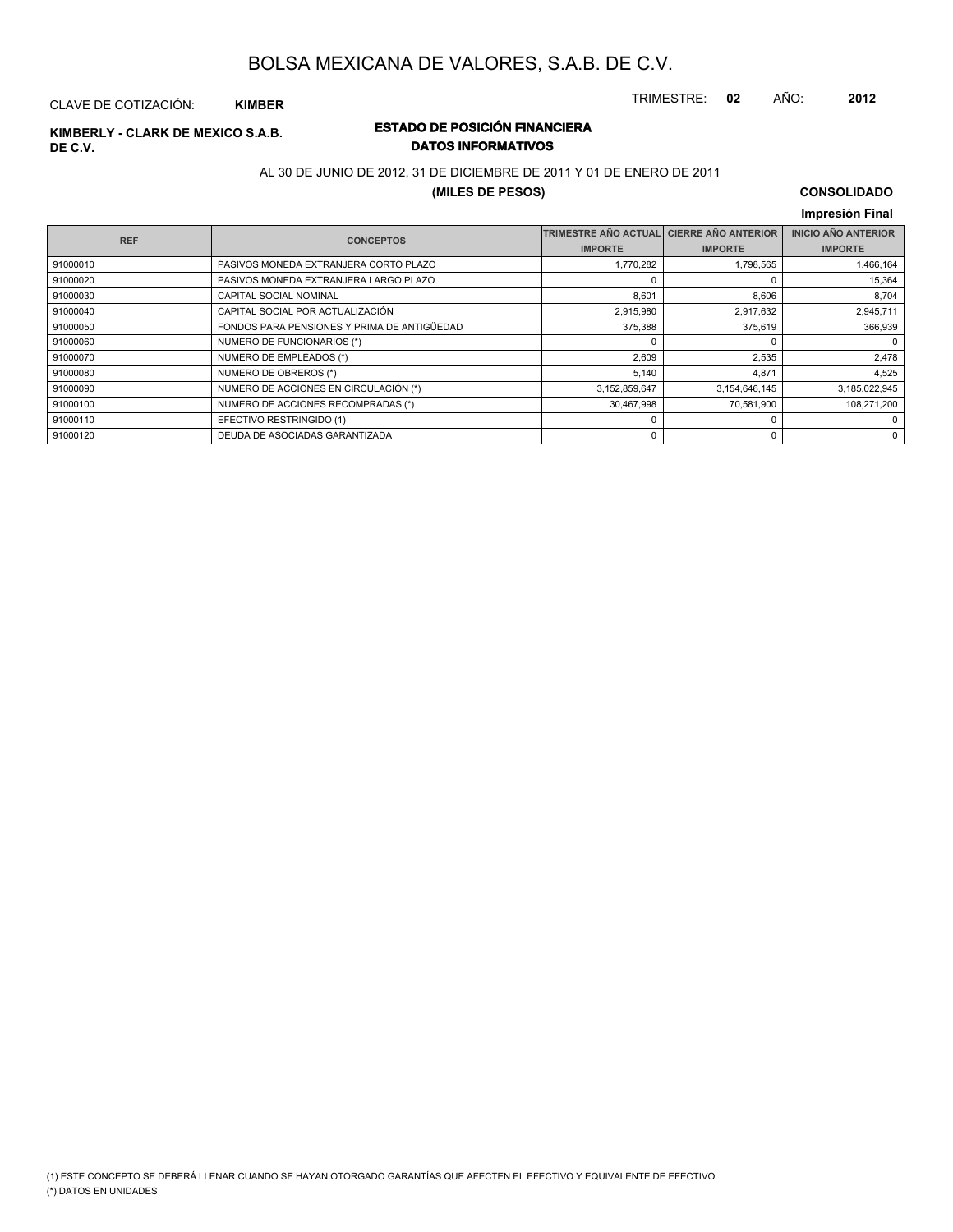TRIMESTRE: **02** AÑO: **2012**

#### CLAVE DE COTIZACIÓN: **KIMBER**

## **DE C.V.**

### **ESTADO DE POSICIÓN FINANCIERA KIMBERLY - CLARK DE MEXICO S.A.B. DATOS INFORMATIVOS**

#### AL 30 DE JUNIO DE 2012, 31 DE DICIEMBRE DE 2011 Y 01 DE ENERO DE 2011

#### **(MILES DE PESOS)**

### **CONSOLIDADO**

|            |                                             |                             |                            | Impresión Final            |
|------------|---------------------------------------------|-----------------------------|----------------------------|----------------------------|
| <b>REF</b> | <b>CONCEPTOS</b>                            | <b>TRIMESTRE AÑO ACTUAL</b> | <b>CIERRE AÑO ANTERIOR</b> | <b>INICIO AÑO ANTERIOR</b> |
|            |                                             | <b>IMPORTE</b>              | <b>IMPORTE</b>             | <b>IMPORTE</b>             |
| 91000010   | PASIVOS MONEDA EXTRANJERA CORTO PLAZO       | 1,770,282                   | 1,798,565                  | 1,466,164                  |
| 91000020   | PASIVOS MONEDA EXTRANJERA LARGO PLAZO       |                             |                            | 15,364                     |
| 91000030   | <b>CAPITAL SOCIAL NOMINAL</b>               | 8,601                       | 8,606                      | 8,704                      |
| 91000040   | CAPITAL SOCIAL POR ACTUALIZACIÓN            | 2,915,980                   | 2,917,632                  | 2,945,711                  |
| 91000050   | FONDOS PARA PENSIONES Y PRIMA DE ANTIGÜEDAD | 375,388                     | 375,619                    | 366,939                    |
| 91000060   | NUMERO DE FUNCIONARIOS (*)                  |                             |                            | 0                          |
| 91000070   | NUMERO DE EMPLEADOS (*)                     | 2,609                       | 2,535                      | 2,478                      |
| 91000080   | NUMERO DE OBREROS (*)                       | 5,140                       | 4,871                      | 4,525                      |
| 91000090   | NUMERO DE ACCIONES EN CIRCULACIÓN (*)       | 3,152,859,647               | 3,154,646,145              | 3,185,022,945              |
| 91000100   | NUMERO DE ACCIONES RECOMPRADAS (*)          | 30,467,998                  | 70,581,900                 | 108,271,200                |
| 91000110   | EFECTIVO RESTRINGIDO (1)                    |                             | 0                          | 0                          |
| 91000120   | DEUDA DE ASOCIADAS GARANTIZADA              |                             | 0                          | 0                          |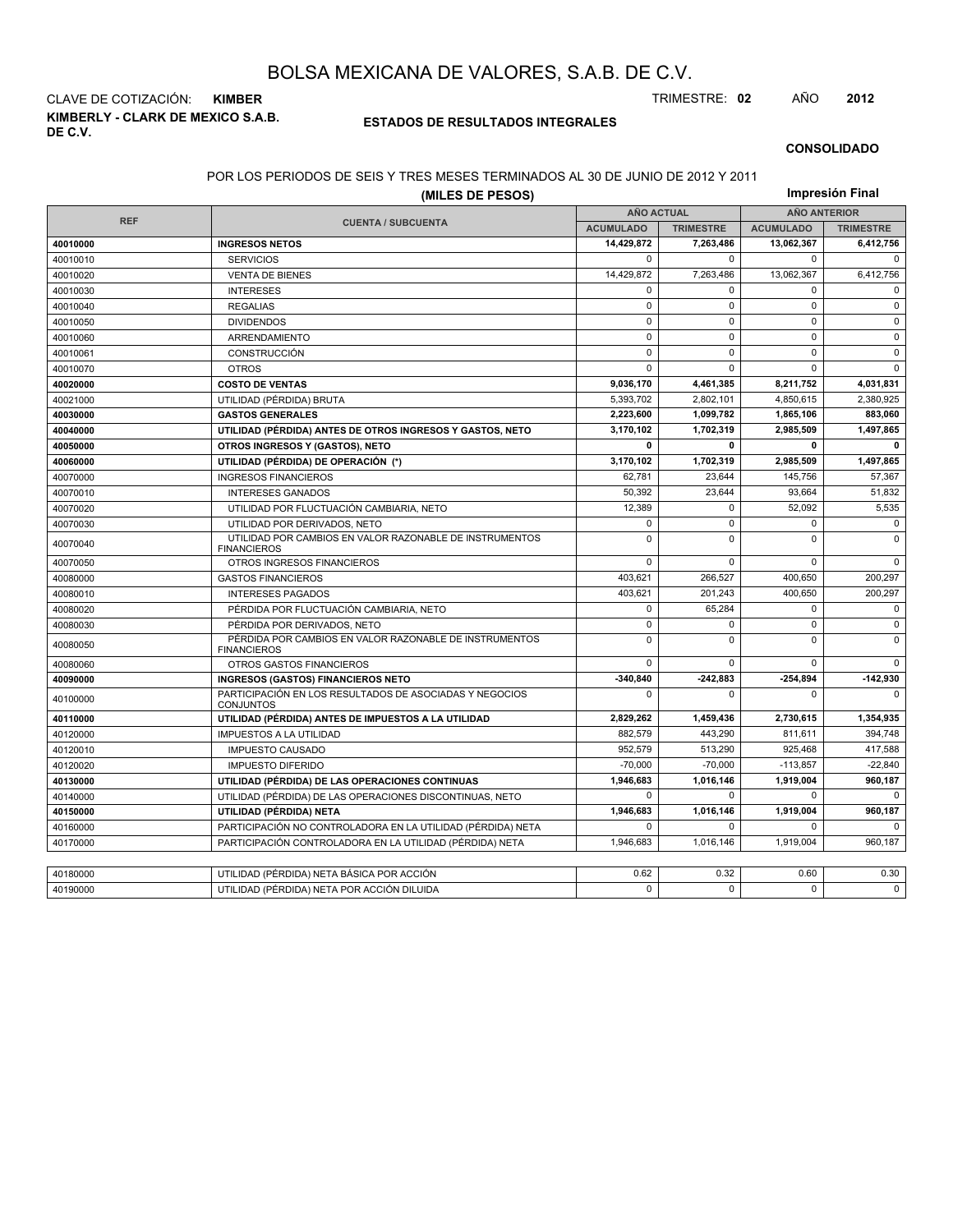**KIMBERLY - CLARK DE MEXICO S.A.B. DE C.V.** CLAVE DE COTIZACIÓN: **KIMBER** TRIMESTRE: **02** AÑO **2012**

#### **ESTADOS DE RESULTADOS INTEGRALES**

#### **CONSOLIDADO**

#### POR LOS PERIODOS DE SEIS Y TRES MESES TERMINADOS AL 30 DE JUNIO DE 2012 Y 2011

|            | (MILES DE PESOS)                                                              |                   |                  | Impresión Final     |                  |  |  |
|------------|-------------------------------------------------------------------------------|-------------------|------------------|---------------------|------------------|--|--|
|            |                                                                               | <b>AÑO ACTUAL</b> |                  | <b>AÑO ANTERIOR</b> |                  |  |  |
| <b>REF</b> | <b>CUENTA / SUBCUENTA</b>                                                     | <b>ACUMULADO</b>  | <b>TRIMESTRE</b> | <b>ACUMULADO</b>    | <b>TRIMESTRE</b> |  |  |
| 40010000   | <b>INGRESOS NETOS</b>                                                         | 14,429,872        | 7,263,486        | 13,062,367          | 6,412,756        |  |  |
| 40010010   | <b>SERVICIOS</b>                                                              | $\Omega$          | $\Omega$         | $\Omega$            | $\Omega$         |  |  |
| 40010020   | <b>VENTA DE BIENES</b>                                                        | 14,429,872        | 7,263,486        | 13,062,367          | 6,412,756        |  |  |
| 40010030   | <b>INTERESES</b>                                                              | 0                 | $\mathbf 0$      | $\mathbf 0$         | $\mathbf 0$      |  |  |
| 40010040   | <b>REGALIAS</b>                                                               | $\pmb{0}$         | $\mathbf 0$      | $\mathbf 0$         | $\mathbf 0$      |  |  |
| 40010050   | <b>DIVIDENDOS</b>                                                             | $\mathbf 0$       | $\mathbf 0$      | $\mathbf 0$         | $\mathbf 0$      |  |  |
| 40010060   | ARRENDAMIENTO                                                                 | $\mathbf 0$       | $\mathbf 0$      | $\mathbf 0$         | $\mathbf 0$      |  |  |
| 40010061   | <b>CONSTRUCCIÓN</b>                                                           | 0                 | 0                | $\mathbf 0$         | $\mathbf 0$      |  |  |
| 40010070   | <b>OTROS</b>                                                                  | $\mathbf 0$       | 0                | $\mathbf 0$         | $\Omega$         |  |  |
| 40020000   | <b>COSTO DE VENTAS</b>                                                        | 9,036,170         | 4,461,385        | 8,211,752           | 4,031,831        |  |  |
| 40021000   | UTILIDAD (PÉRDIDA) BRUTA                                                      | 5.393.702         | 2.802.101        | 4,850,615           | 2.380.925        |  |  |
| 40030000   | <b>GASTOS GENERALES</b>                                                       | 2,223,600         | 1,099,782        | 1,865,106           | 883,060          |  |  |
| 40040000   | UTILIDAD (PÉRDIDA) ANTES DE OTROS INGRESOS Y GASTOS, NETO                     | 3,170,102         | 1,702,319        | 2,985,509           | 1,497,865        |  |  |
| 40050000   | OTROS INGRESOS Y (GASTOS), NETO                                               | 0                 | $\mathbf{0}$     | 0                   | 0                |  |  |
| 40060000   | UTILIDAD (PÉRDIDA) DE OPERACIÓN (*)                                           | 3,170,102         | 1,702,319        | 2,985,509           | 1,497,865        |  |  |
| 40070000   | <b>INGRESOS FINANCIEROS</b>                                                   | 62.781            | 23.644           | 145,756             | 57,367           |  |  |
| 40070010   | <b>INTERESES GANADOS</b>                                                      | 50,392            | 23,644           | 93,664              | 51,832           |  |  |
| 40070020   | UTILIDAD POR FLUCTUACIÓN CAMBIARIA, NETO                                      | 12,389            | $\mathbf 0$      | 52,092              | 5,535            |  |  |
| 40070030   | UTILIDAD POR DERIVADOS, NETO                                                  | $\mathbf 0$       | $\mathbf 0$      | $\mathbf 0$         | $\mathbf 0$      |  |  |
| 40070040   | UTILIDAD POR CAMBIOS EN VALOR RAZONABLE DE INSTRUMENTOS<br><b>FINANCIEROS</b> | $\mathbf 0$       | $\Omega$         | $\mathbf 0$         | $\Omega$         |  |  |
| 40070050   | OTROS INGRESOS FINANCIEROS                                                    | $\Omega$          | $\Omega$         | $\Omega$            | $\Omega$         |  |  |
| 40080000   | <b>GASTOS FINANCIEROS</b>                                                     | 403,621           | 266.527          | 400,650             | 200,297          |  |  |
| 40080010   | <b>INTERESES PAGADOS</b>                                                      | 403,621           | 201,243          | 400,650             | 200,297          |  |  |
| 40080020   | PÉRDIDA POR FLUCTUACIÓN CAMBIARIA, NETO                                       | $\mathbf 0$       | 65.284           | $\mathbf 0$         | $\mathbf 0$      |  |  |
| 40080030   | PÉRDIDA POR DERIVADOS, NETO                                                   | 0                 | 0                | $\pmb{0}$           | $\mathbf 0$      |  |  |
| 40080050   | PÉRDIDA POR CAMBIOS EN VALOR RAZONABLE DE INSTRUMENTOS<br><b>FINANCIEROS</b>  | $\mathbf 0$       | $\Omega$         | $\Omega$            | $\Omega$         |  |  |
| 40080060   | <b>OTROS GASTOS FINANCIEROS</b>                                               | $\mathbf 0$       | 0                | $\mathbf 0$         | $\mathbf 0$      |  |  |
| 40090000   | <b>INGRESOS (GASTOS) FINANCIEROS NETO</b>                                     | $-340,840$        | $-242,883$       | -254,894            | $-142,930$       |  |  |
| 40100000   | PARTICIPACIÓN EN LOS RESULTADOS DE ASOCIADAS Y NEGOCIOS<br><b>CONJUNTOS</b>   | $\mathbf 0$       | $\Omega$         | $\mathbf 0$         | $\Omega$         |  |  |
| 40110000   | UTILIDAD (PÉRDIDA) ANTES DE IMPUESTOS A LA UTILIDAD                           | 2,829,262         | 1,459,436        | 2,730,615           | 1,354,935        |  |  |
| 40120000   | <b>IMPUESTOS A LA UTILIDAD</b>                                                | 882,579           | 443,290          | 811,611             | 394,748          |  |  |
| 40120010   | <b>IMPUESTO CAUSADO</b>                                                       | 952,579           | 513,290          | 925,468             | 417,588          |  |  |
| 40120020   | <b>IMPUESTO DIFERIDO</b>                                                      | $-70,000$         | $-70,000$        | $-113,857$          | $-22,840$        |  |  |
| 40130000   | UTILIDAD (PÉRDIDA) DE LAS OPERACIONES CONTINUAS                               | 1,946,683         | 1,016,146        | 1,919,004           | 960,187          |  |  |
| 40140000   | UTILIDAD (PÉRDIDA) DE LAS OPERACIONES DISCONTINUAS, NETO                      | 0                 | 0                | 0                   | $\Omega$         |  |  |
| 40150000   | UTILIDAD (PÉRDIDA) NETA                                                       | 1,946,683         | 1,016,146        | 1,919,004           | 960,187          |  |  |
| 40160000   | PARTICIPACIÓN NO CONTROLADORA EN LA UTILIDAD (PÉRDIDA) NETA                   | 0                 | 0                | 0                   |                  |  |  |
| 40170000   | PARTICIPACIÓN CONTROLADORA EN LA UTILIDAD (PÉRDIDA) NETA                      | 1,946,683         | 1,016,146        | 1,919,004           | 960,187          |  |  |
|            |                                                                               |                   |                  |                     |                  |  |  |
| 40180000   | UTILIDAD (PÉRDIDA) NETA BÁSICA POR ACCIÓN                                     | 0.62              | 0.32             | 0.60                | 0.30             |  |  |
| 40190000   | UTILIDAD (PÉRDIDA) NETA POR ACCIÓN DILUIDA                                    | $\Omega$          | $\Omega$         | $\Omega$            | $\Omega$         |  |  |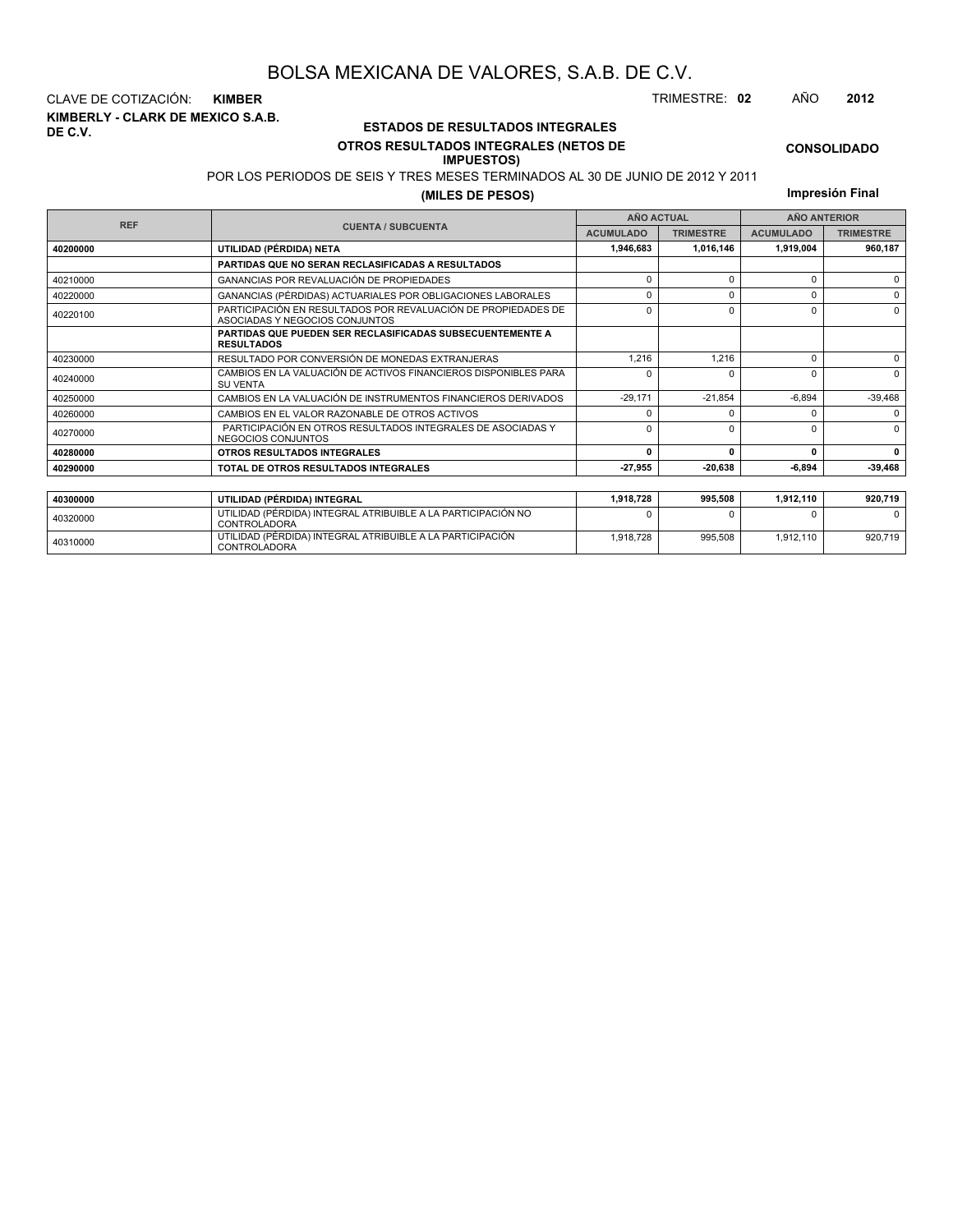**KIMBERLY - CLARK DE MEXICO S.A.B. DE C.V.** CLAVE DE COTIZACIÓN: **KIMBER** TRIMESTRE: **02** AÑO **2012**

<sup>40310000</sup> UTILIDAD (PÉRDIDA) INTEGRAL ATRIBUIBLE A LA PARTICIPACIÓN CONTROLADORA

#### **ESTADOS DE RESULTADOS INTEGRALES OTROS RESULTADOS INTEGRALES (NETOS DE**

#### **IMPUESTOS)**

POR LOS PERIODOS DE SEIS Y TRES MESES TERMINADOS AL 30 DE JUNIO DE 2012 Y 2011

1,918,728 995,508 1,912,110 920,719

**(MILES DE PESOS)**

**Impresión Final**

**CONSOLIDADO**

|            |                                                                                                 |                  | <b>AÑO ACTUAL</b> | <b>AÑO ANTERIOR</b> |                  |  |  |
|------------|-------------------------------------------------------------------------------------------------|------------------|-------------------|---------------------|------------------|--|--|
| <b>REF</b> | <b>CUENTA / SUBCUENTA</b>                                                                       | <b>ACUMULADO</b> | <b>TRIMESTRE</b>  | <b>ACUMULADO</b>    | <b>TRIMESTRE</b> |  |  |
| 40200000   | UTILIDAD (PÉRDIDA) NETA                                                                         | 1.946.683        | 1,016,146         | 1,919,004           | 960.187          |  |  |
|            | PARTIDAS QUE NO SERAN RECLASIFICADAS A RESULTADOS                                               |                  |                   |                     |                  |  |  |
| 40210000   | <b>GANANCIAS POR REVALUACIÓN DE PROPIEDADES</b>                                                 | $\Omega$         | $\Omega$          | 0                   | $\Omega$         |  |  |
| 40220000   | GANANCIAS (PÉRDIDAS) ACTUARIALES POR OBLIGACIONES LABORALES                                     | n                | $\Omega$          | U                   | $\Omega$         |  |  |
| 40220100   | PARTICIPACIÓN EN RESULTADOS POR REVALUACIÓN DE PROPIEDADES DE<br>ASOCIADAS Y NEGOCIOS CONJUNTOS | $\Omega$         |                   | 0                   | $\Omega$         |  |  |
|            | <b>PARTIDAS QUE PUEDEN SER RECLASIFICADAS SUBSECUENTEMENTE A</b><br><b>RESULTADOS</b>           |                  |                   |                     |                  |  |  |
| 40230000   | RESULTADO POR CONVERSIÓN DE MONEDAS EXTRANJERAS                                                 | 1.216            | 1.216             | 0                   | $\Omega$         |  |  |
| 40240000   | CAMBIOS EN LA VALUACIÓN DE ACTIVOS FINANCIEROS DISPONIBLES PARA<br><b>SU VENTA</b>              | n                |                   | U                   | $\Omega$         |  |  |
| 40250000   | CAMBIOS EN LA VALUACIÓN DE INSTRUMENTOS FINANCIEROS DERIVADOS                                   | $-29.171$        | $-21.854$         | $-6.894$            | $-39,468$        |  |  |
| 40260000   | CAMBIOS EN EL VALOR RAZONABLE DE OTROS ACTIVOS                                                  | n                |                   | U                   | $\Omega$         |  |  |
| 40270000   | PARTICIPACIÓN EN OTROS RESULTADOS INTEGRALES DE ASOCIADAS Y<br>NEGOCIOS CONJUNTOS               | $\Omega$         |                   | U                   | $\Omega$         |  |  |
| 40280000   | <b>OTROS RESULTADOS INTEGRALES</b>                                                              | 0                | 0                 | 0                   | $\mathbf{0}$     |  |  |
| 40290000   | TOTAL DE OTROS RESULTADOS INTEGRALES                                                            | $-27,955$        | $-20,638$         | $-6.894$            | $-39,468$        |  |  |
|            |                                                                                                 |                  |                   |                     |                  |  |  |
| 40300000   | UTILIDAD (PÉRDIDA) INTEGRAL                                                                     | 1,918,728        | 995,508           | 1,912,110           | 920,719          |  |  |
| 40320000   | UTILIDAD (PÉRDIDA) INTEGRAL ATRIBUIBLE A LA PARTICIPACIÓN NO<br>CONTROLADORA                    | n                |                   | n                   | <sup>0</sup>     |  |  |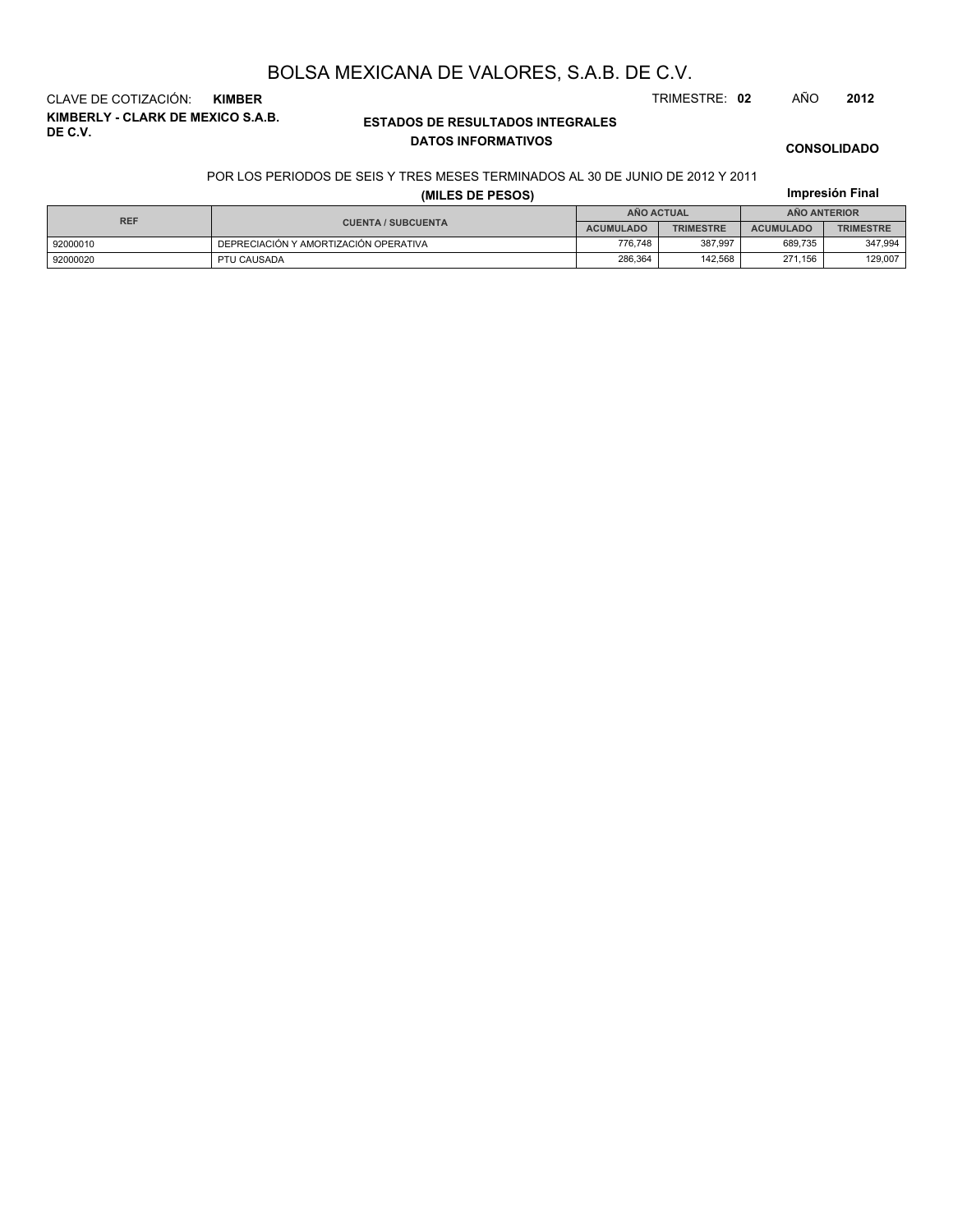**KIMBERLY - CLARK DE MEXICO S.A.B. DE C.V.** CLAVE DE COTIZACIÓN: **KIMBER** TRIMESTRE: **02** AÑO **2012**

#### **ESTADOS DE RESULTADOS INTEGRALES DATOS INFORMATIVOS**

**CONSOLIDADO**

**Impresión Final**

#### POR LOS PERIODOS DE SEIS Y TRES MESES TERMINADOS AL 30 DE JUNIO DE 2012 Y 2011

#### **(MILES DE PESOS)**

| <b>REF</b> |                                       | AÑO ACTUAL       |                  | <b>ANO ANTERIOR</b> |                  |  |
|------------|---------------------------------------|------------------|------------------|---------------------|------------------|--|
|            | <b>CUENTA / SUBCUENTA</b>             | <b>ACUMULADO</b> | <b>TRIMESTRE</b> | <b>ACUMULADO</b>    | <b>TRIMESTRE</b> |  |
| 92000010   | DEPRECIACIÓN Y AMORTIZACIÓN OPERATIVA | 776.748          | 387.997          | 689.735             | 347.994          |  |
| 92000020   | PTU CAUSADA                           | 286.364          | 142.568          | 271.156             | 129,007          |  |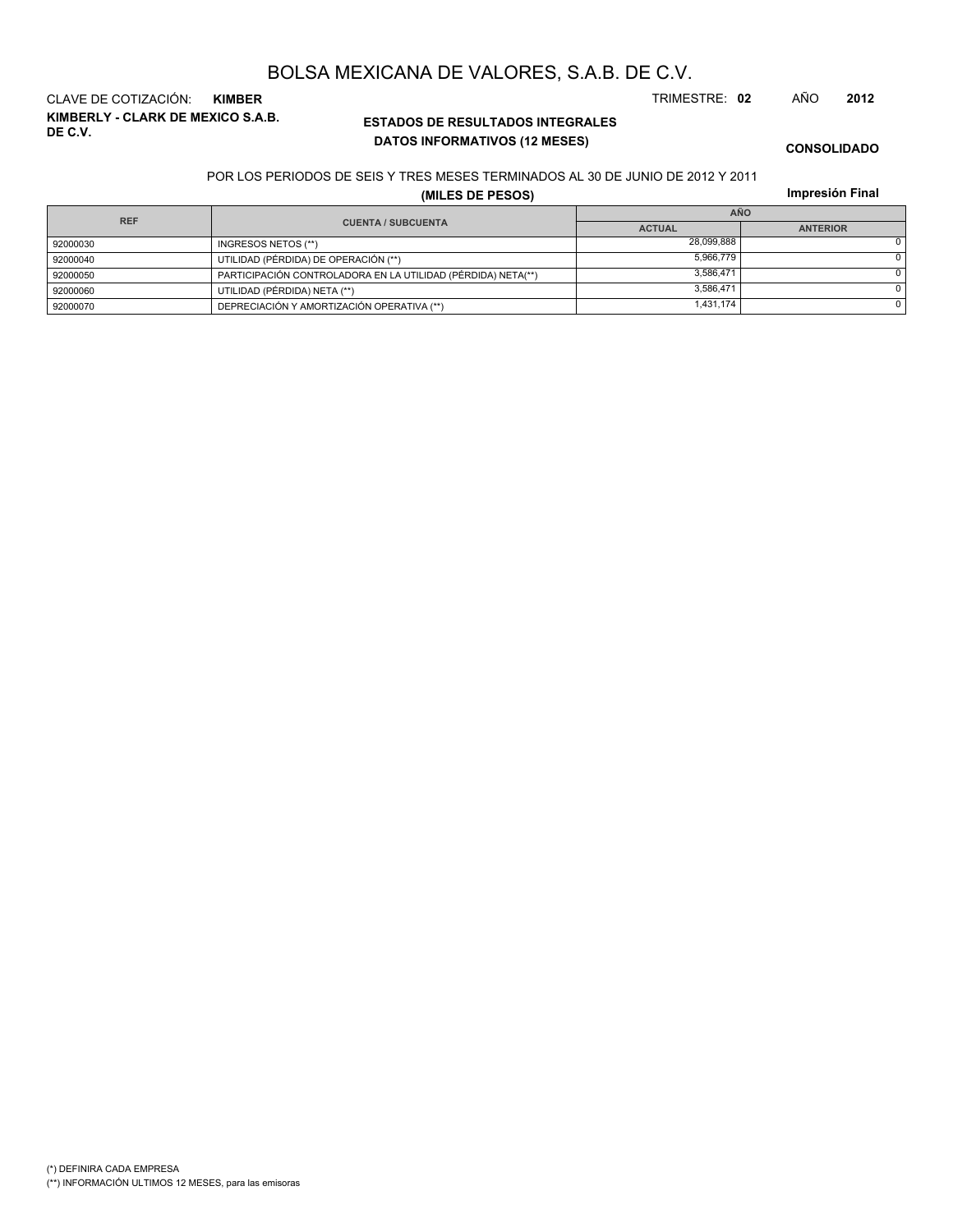**KIMBERLY - CLARK DE MEXICO S.A.B. DE C.V.** CLAVE DE COTIZACIÓN: **KIMBER** TRIMESTRE: **02** AÑO **2012**

#### **ESTADOS DE RESULTADOS INTEGRALES DATOS INFORMATIVOS (12 MESES)**

**CONSOLIDADO**

#### POR LOS PERIODOS DE SEIS Y TRES MESES TERMINADOS AL 30 DE JUNIO DE 2012 Y 2011

**(MILES DE PESOS)**

**Impresión Final**

|            |                                                              | <b>AÑO</b>    |                 |  |  |  |  |  |
|------------|--------------------------------------------------------------|---------------|-----------------|--|--|--|--|--|
| <b>REF</b> | <b>CUENTA / SUBCUENTA</b>                                    | <b>ACTUAL</b> | <b>ANTERIOR</b> |  |  |  |  |  |
| 92000030   | INGRESOS NETOS (**)                                          | 28.099.888    |                 |  |  |  |  |  |
| 92000040   | UTILIDAD (PÉRDIDA) DE OPERACIÓN (**)                         | 5.966.779     |                 |  |  |  |  |  |
| 92000050   | PARTICIPACIÓN CONTROLADORA EN LA UTILIDAD (PÉRDIDA) NETA(**) | 3.586.471     |                 |  |  |  |  |  |
| 92000060   | UTILIDAD (PÉRDIDA) NETA (**)                                 | 3.586.471     |                 |  |  |  |  |  |
| 92000070   | DEPRECIACIÓN Y AMORTIZACIÓN OPERATIVA (**)                   | 1,431,174     |                 |  |  |  |  |  |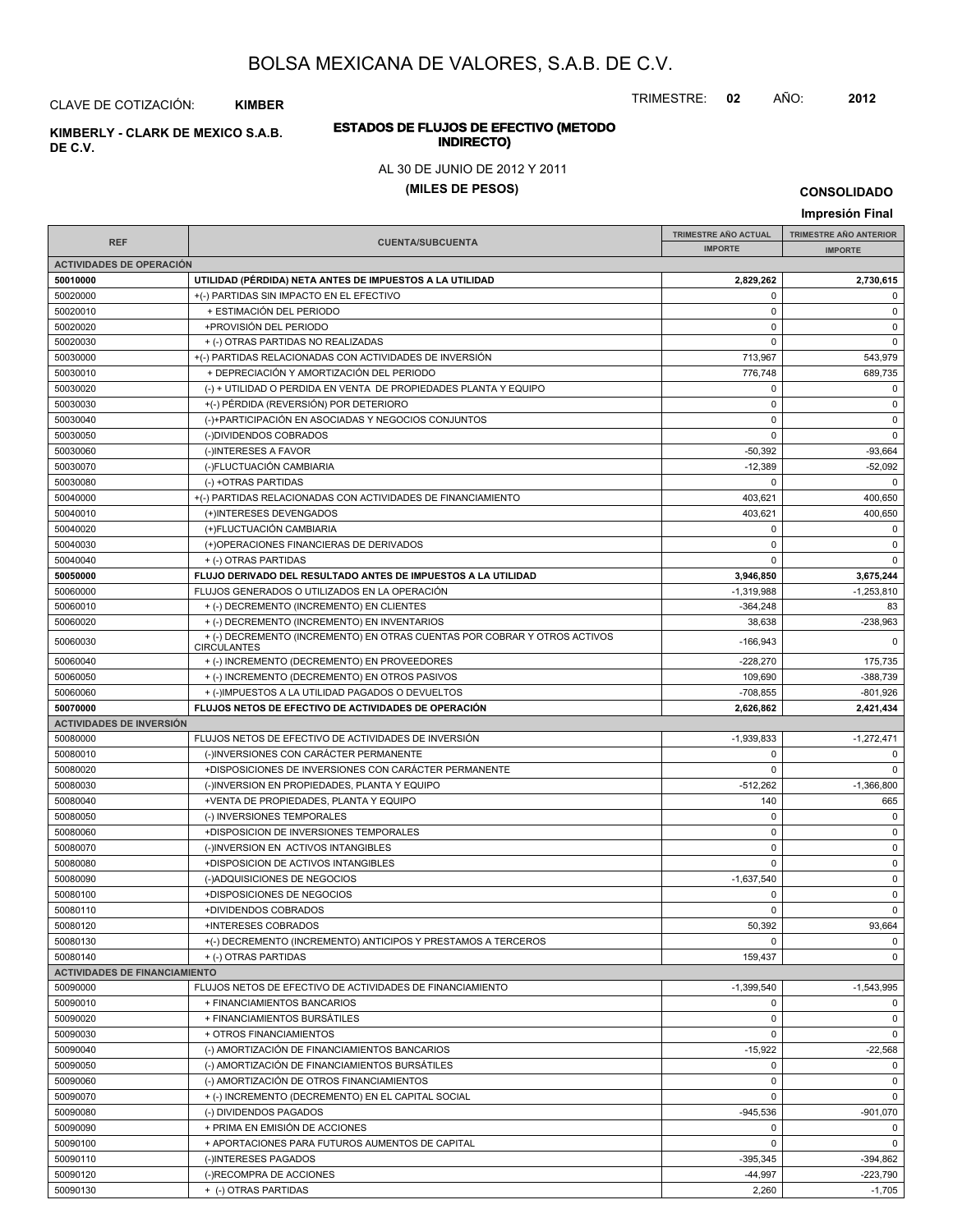TRIMESTRE: **02** AÑO: **2012**

## **ESTADOS DE FLUJOS DE EFECTIVO (METODO**

#### AL 30 DE JUNIO DE 2012 Y 2011

#### **(MILES DE PESOS)**

**Impresión Final**

#### **IMPRESIÓN FINAL AND SUBCUENTA**<br> **IMPORTE TRIMESTRE AÑO ACTUAL IMPORTE IMPORTE REF TRIMESTRE AÑO ANTERIOR IMPORTE ACTIVIDADES DE OPERACIÓN 50010000 UTILIDAD (PÉRDIDA) NETA ANTES DE IMPUESTOS A LA UTILIDAD 2,829,262 2,730,615** 50020000 +(-) PARTIDAS SIN IMPACTO EN EL EFECTIVO 0 0 50020010 + ESTIMACIÓN DEL PERIODO 0 0 50020020 +PROVISIÓN DEL PERIODO 0 0 50020030 + (-) OTRAS PARTIDAS NO REALIZADAS 0 0 50030000 + (-) PARTIDAS RELACIONADAS CON ACTIVIDADES DE INVERSIÓN 713,967 713,967 543,979 543,979 50030010 + DEPRECIACIÓN Y AMORTIZACIÓN DEL PERIODO 776,748 689,735 50030020 (-) + UTILIDAD O PERDIDA EN VENTA DE PROPIEDADES PLANTA Y EQUIPO 0 0 50030030 +(-) PÉRDIDA (REVERSIÓN) POR DETERIORO 0 0 50030040 (-)+PARTICIPACIÓN EN ASOCIADAS Y NEGOCIOS CONJUNTOS 0 0 50030050 (-)DIVIDENDOS COBRADOS 0 0 50030060 (-)INTERESES A FAVOR -50,392 -93,664 50030070 (-)FLUCTUACIÓN CAMBIARIA -12,389 -52,092 50030080 (-) +OTRAS PARTIDAS 0 0 50040000 +(-) PARTIDAS RELACIONADAS CON ACTIVIDADES DE FINANCIAMIENTO 403,621 400,650 50040010 (+)INTERESES DEVENGADOS 403,621 400,650 50040020 (+)FLUCTUACIÓN CAMBIARIA 0 0 50040030 (+)OPERACIONES FINANCIERAS DE DERIVADOS 0 0 50040040 + (-) OTRAS PARTIDAS 0 0 **50050000 FLUJO DERIVADO DEL RESULTADO ANTES DE IMPUESTOS A LA UTILIDAD 3,946,850 3,675,244** 50060000 FLUJOS GENERADOS O UTILIZADOS EN LA OPERACIÓN -1,319,988 -1,319,988 -1,253,810 -1,253,810 50060010 + (-) DECREMENTO (INCREMENTO) EN CLIENTES -364,248 83 50060020 + (-) DECREMENTO (INCREMENTO) EN INVENTARIOS 38,638 -238,963 50060030 -166,943 0 + (-) DECREMENTO (INCREMENTO) EN OTRAS CUENTAS POR COBRAR Y OTROS ACTIVOS **CIRCULANTES** 50060040 + (-) INCREMENTO (DECREMENTO) EN PROVEEDORES -228,270 175,735 50060050 + (-) INCREMENTO (DECREMENTO) EN OTROS PASIVOS + 109,690 + 388,739 - 388,739  $50060060$  + (-)IMPUESTOS A LA UTILIDAD PAGADOS O DEVUELTOS -801,926 **50070000 FLUJOS NETOS DE EFECTIVO DE ACTIVIDADES DE OPERACIÓN 2,626,862 2,421,434 ACTIVIDADES DE INVERSIÓN** 50080000 FLUJOS NETOS DE EFECTIVO DE ACTIVIDADES DE INVERSIÓN CONTENTENTE EN EL 1939,833 FLUJOS NETOS DE EFECTIVO DE ACTIVIDADES DE INVERSIÓN CONTENTENTE EN EL 1939,833 FLUJOS NETOS DE EFECTIVO DE ACTIVIDADES DE INVERSIÓN 50080010 (-)INVERSIONES CON CARÁCTER PERMANENTE 0 0 50080020 +DISPOSICIONES DE INVERSIONES CON CARÁCTER PERMANENTE 0 0 50080030 (-)INVERSION EN PROPIEDADES, PLANTA Y EQUIPO -512,262 -512,262 -1,366,800 50080040 +VENTA DE PROPIEDADES, PLANTA Y EQUIPO 140 665 50080050 (-) INVERSIONES TEMPORALES 0 0 50080060 +DISPOSICION DE INVERSIONES TEMPORALES 0 0 50080070 (-)INVERSION EN ACTIVOS INTANGIBLES 0 0 50080080 +DISPOSICION DE ACTIVOS INTANGIBLES 0 0 50080090 (-)ADQUISICIONES DE NEGOCIOS -1,637,540 0 50080100 +DISPOSICIONES DE NEGOCIOS 0 0 50080110 +DIVIDENDOS COBRADOS 0 0 50080120 +INTERESES COBRADOS 50,392 93,664 50080130 +(-) DECREMENTO (INCREMENTO) ANTICIPOS Y PRESTAMOS A TERCEROS 0 0 50080140 + (-) OTRAS PARTIDAS 0 **ACTIVIDADES DE FINANCIAMIENTO** 50090000 FLUJOS NETOS DE EFECTIVO DE ACTIVIDADES DE FINANCIAMIENTO AND SOLO AND SAN SERVICE AL 1,399,540 FLUJOS NETOS DE EFECTIVO DE ACTIVIDADES DE FINANCIAMIENTO 50090010 + FINANCIAMIENTOS BANCARIOS 0 0 50090020 + FINANCIAMIENTOS BURSÁTILES 0 0 50090030 + OTROS FINANCIAMIENTOS 0 0 50090040 (-) AMORTIZACIÓN DE FINANCIAMIENTOS BANCARIOS -15,922 -15,922 -22,568 50090050 (-) AMORTIZACIÓN DE FINANCIAMIENTOS BURSÁTILES 0 0 50090060 (-) AMORTIZACIÓN DE OTROS FINANCIAMIENTOS 0 0 50090070 + (-) INCREMENTO (DECREMENTO) EN EL CAPITAL SOCIAL 0 0 50090080 (-) DIVIDENDOS PAGADOS -945,536 -901,070 50090090 + PRIMA EN EMISIÓN DE ACCIONES de la componentación de la componentación de la componentación de la c 50090100 + APORTACIONES PARA FUTUROS AUMENTOS DE CAPITAL 0 0 50090110 | (-)INTERESES PAGADOS -395,345 | -394,862 50090120 (-)RECOMPRA DE ACCIONES -44,997 -223,790

50090130 + (-) OTRAS PARTIDAS 2,260 -1,705

**CONSOLIDADO**

CLAVE DE COTIZACIÓN: **KIMBER**

**INDIRECTO) KIMBERLY - CLARK DE MEXICO S.A.B.**

**DE C.V.**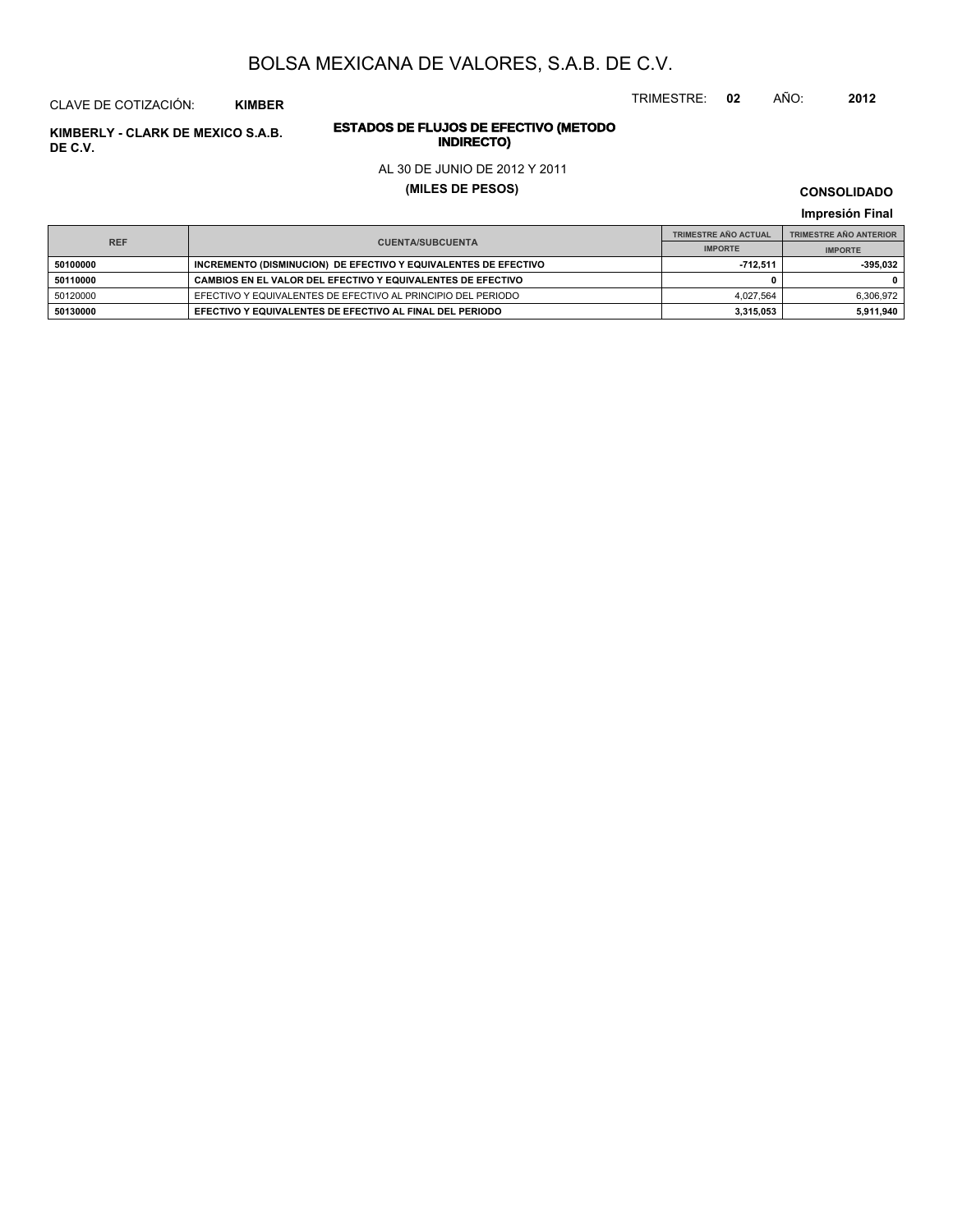TRIMESTRE: **02** AÑO: **2012**

# **ESTADOS DE FLUJOS DE EFECTIVO (METODO**

#### AL 30 DE JUNIO DE 2012 Y 2011

**(MILES DE PESOS)**

**CONSOLIDADO Impresión Final**

**IMPRESS FINAL CUENTA/SUBCUENTA**<br> **IMPORTE TRIMESTRE AÑO ACTUAL IMPORTE IMPORTE REF TRIMESTRE AÑO ANTERIOR IMPORTE EDITIONS CONSIDEREMENTO (DISMINUCION) DE EFECTIVO Y EQUIVALENTES DE EFECTIVO -712,511** -712,511 -395,032 **50110000 CAMBIOS EN EL VALOR DEL EFECTIVO Y EQUIVALENTES DE EFECTIVO 0 0** 50120000 EFECTIVO Y EQUIVALENTES DE EFECTIVO AL PRINCIPIO DEL PERIODO 4,027,564 6,306,972 **50130000 EFECTIVO Y EQUIVALENTES DE EFECTIVO AL FINAL DEL PERIODO 3,315,053 5,911,940**

**INDERLY - CLARK DE MEXICO S.A.B. ESTADOS DE FLUJOS DE EFE**<br>INDIRECTO **DE C.V.**

CLAVE DE COTIZACIÓN: **KIMBER**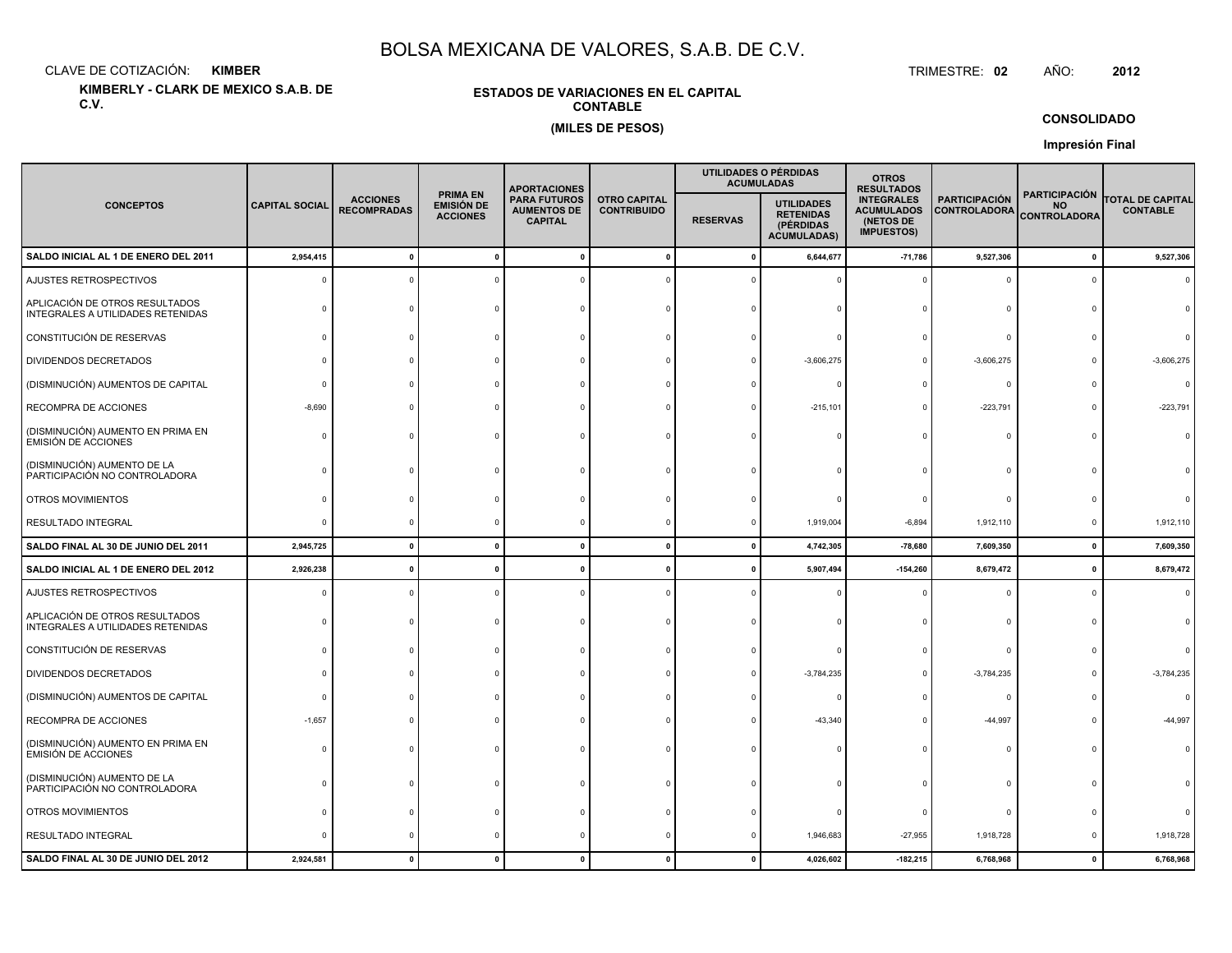CLAVE DE COTIZACIÓN:**KIMBER**: KIMBER TRIMESTRE:

**KIMBERLY - CLARK DE MEXICO S.A.B. DE C.V.**

#### **ESTADOS DE VARIACIONES EN EL CAPITALCONTABLE(MILES DE PESOS)**

TRIMESTRE: 02 AÑO: **<sup>2012</sup>**

#### **CONSOLIDADO**

**Impresión Final**

|                                                                     |                       |                                       |                                                  | <b>APORTACIONES</b>                                         |                                           |                 | UTILIDADES O PÉRDIDAS<br><b>ACUMULADAS</b>                               | <b>OTROS</b><br><b>RESULTADOS</b>                                        |                                             |                                                          |                                            |  |
|---------------------------------------------------------------------|-----------------------|---------------------------------------|--------------------------------------------------|-------------------------------------------------------------|-------------------------------------------|-----------------|--------------------------------------------------------------------------|--------------------------------------------------------------------------|---------------------------------------------|----------------------------------------------------------|--------------------------------------------|--|
| <b>CONCEPTOS</b>                                                    | <b>CAPITAL SOCIAL</b> | <b>ACCIONES</b><br><b>RECOMPRADAS</b> | <b>PRIMA EN</b><br>EMISIÓN DE<br><b>ACCIONES</b> | <b>PARA FUTUROS</b><br><b>AUMENTOS DE</b><br><b>CAPITAL</b> | <b>OTRO CAPITAL</b><br><b>CONTRIBUIDO</b> | <b>RESERVAS</b> | <b>UTILIDADES</b><br><b>RETENIDAS</b><br>(PÉRDIDAS<br><b>ACUMULADAS)</b> | <b>INTEGRALES</b><br><b>ACUMULADOS</b><br>(NETOS DE<br><b>IMPUESTOS)</b> | <b>PARTICIPACIÓN</b><br><b>CONTROLADORA</b> | <b>PARTICIPACIÓN</b><br><b>NO</b><br><b>CONTROLADORA</b> | <b>TOTAL DE CAPITAL</b><br><b>CONTABLE</b> |  |
| SALDO INICIAL AL 1 DE ENERO DEL 2011                                | 2,954,415             |                                       |                                                  |                                                             | $\mathbf 0$                               | $\mathbf{0}$    | 6,644,677                                                                | $-71,786$                                                                | 9,527,306                                   | $\mathbf{0}$                                             | 9,527,306                                  |  |
| AJUSTES RETROSPECTIVOS                                              |                       |                                       |                                                  |                                                             |                                           |                 |                                                                          |                                                                          | $\Omega$                                    | $\Omega$                                                 |                                            |  |
| APLICACIÓN DE OTROS RESULTADOS<br>INTEGRALES A UTILIDADES RETENIDAS |                       |                                       |                                                  |                                                             |                                           |                 |                                                                          |                                                                          |                                             |                                                          |                                            |  |
| CONSTITUCIÓN DE RESERVAS                                            |                       |                                       |                                                  |                                                             |                                           |                 |                                                                          |                                                                          | $\Omega$                                    |                                                          |                                            |  |
| DIVIDENDOS DECRETADOS                                               |                       |                                       |                                                  |                                                             |                                           |                 | $-3,606,275$                                                             |                                                                          | $-3,606,275$                                |                                                          | $-3,606,275$                               |  |
| (DISMINUCIÓN) AUMENTOS DE CAPITAL                                   |                       |                                       |                                                  |                                                             |                                           |                 |                                                                          |                                                                          | $^{\circ}$                                  |                                                          | $\Omega$                                   |  |
| RECOMPRA DE ACCIONES                                                | $-8,690$              |                                       |                                                  |                                                             |                                           |                 | $-215,101$                                                               |                                                                          | $-223,791$                                  | $\Omega$                                                 | $-223,791$                                 |  |
| (DISMINUCIÓN) AUMENTO EN PRIMA EN<br><b>EMISIÓN DE ACCIONES</b>     | ſ                     |                                       |                                                  |                                                             |                                           |                 |                                                                          |                                                                          | $\Omega$                                    | $\Omega$                                                 |                                            |  |
| (DISMINUCIÓN) AUMENTO DE LA<br>PARTICIPACIÓN NO CONTROLADORA        |                       |                                       |                                                  |                                                             |                                           |                 |                                                                          |                                                                          |                                             |                                                          |                                            |  |
| OTROS MOVIMIENTOS                                                   |                       |                                       |                                                  |                                                             |                                           |                 |                                                                          |                                                                          | $\Omega$                                    |                                                          |                                            |  |
| RESULTADO INTEGRAL                                                  |                       |                                       |                                                  |                                                             |                                           |                 | 1,919,004                                                                | $-6,894$                                                                 | 1,912,110                                   | 0                                                        | 1,912,110                                  |  |
| SALDO FINAL AL 30 DE JUNIO DEL 2011                                 | 2,945,725             | $\mathbf{0}$                          | $\mathbf{0}$                                     | $\mathbf{0}$                                                | $\mathbf{0}$                              | $\mathbf{0}$    | 4,742,305                                                                | $-78,680$                                                                | 7,609,350                                   | $\mathbf 0$                                              | 7,609,350                                  |  |
| SALDO INICIAL AL 1 DE ENERO DEL 2012                                | 2,926,238             |                                       |                                                  |                                                             | $\Omega$                                  | 0               | 5,907,494                                                                | $-154,260$                                                               | 8,679,472                                   | $\mathbf 0$                                              | 8,679,472                                  |  |
| AJUSTES RETROSPECTIVOS                                              |                       |                                       |                                                  |                                                             |                                           |                 |                                                                          |                                                                          | 0                                           | 0                                                        | $\Omega$                                   |  |
| APLICACIÓN DE OTROS RESULTADOS<br>INTEGRALES A UTILIDADES RETENIDAS |                       |                                       |                                                  |                                                             |                                           |                 |                                                                          |                                                                          | $\Omega$                                    |                                                          |                                            |  |
| CONSTITUCIÓN DE RESERVAS                                            |                       |                                       |                                                  |                                                             |                                           |                 |                                                                          |                                                                          | $\Omega$                                    |                                                          |                                            |  |
| DIVIDENDOS DECRETADOS                                               |                       |                                       |                                                  |                                                             |                                           |                 | $-3,784,235$                                                             | $\Omega$                                                                 | $-3,784,235$                                |                                                          | $-3,784,235$                               |  |
| (DISMINUCIÓN) AUMENTOS DE CAPITAL                                   |                       |                                       |                                                  |                                                             |                                           |                 |                                                                          |                                                                          | $\circ$                                     |                                                          | $\Omega$                                   |  |
| RECOMPRA DE ACCIONES                                                | $-1,657$              |                                       |                                                  |                                                             |                                           |                 | $-43,340$                                                                |                                                                          | $-44,997$                                   |                                                          | -44,997                                    |  |
| (DISMINUCIÓN) AUMENTO EN PRIMA EN<br><b>EMISIÓN DE ACCIONES</b>     |                       |                                       |                                                  |                                                             |                                           |                 |                                                                          |                                                                          | $\Omega$                                    |                                                          |                                            |  |
| (DISMINUCIÓN) AUMENTO DE LA<br>PARTICIPACIÓN NO CONTROLADORA        |                       |                                       |                                                  |                                                             |                                           |                 |                                                                          |                                                                          | $\Omega$                                    |                                                          |                                            |  |
| OTROS MOVIMIENTOS                                                   |                       |                                       |                                                  |                                                             |                                           |                 |                                                                          |                                                                          | $\circ$                                     |                                                          |                                            |  |
| RESULTADO INTEGRAL                                                  |                       |                                       |                                                  |                                                             |                                           |                 | 1,946,683                                                                | $-27,955$                                                                | 1,918,728                                   | $\Omega$                                                 | 1,918,728                                  |  |
| SALDO FINAL AL 30 DE JUNIO DEL 2012                                 | 2,924,581             |                                       |                                                  |                                                             | $\Omega$                                  |                 | 4,026,602                                                                | $-182,215$                                                               | 6,768,968                                   | $\mathbf{0}$                                             | 6,768,968                                  |  |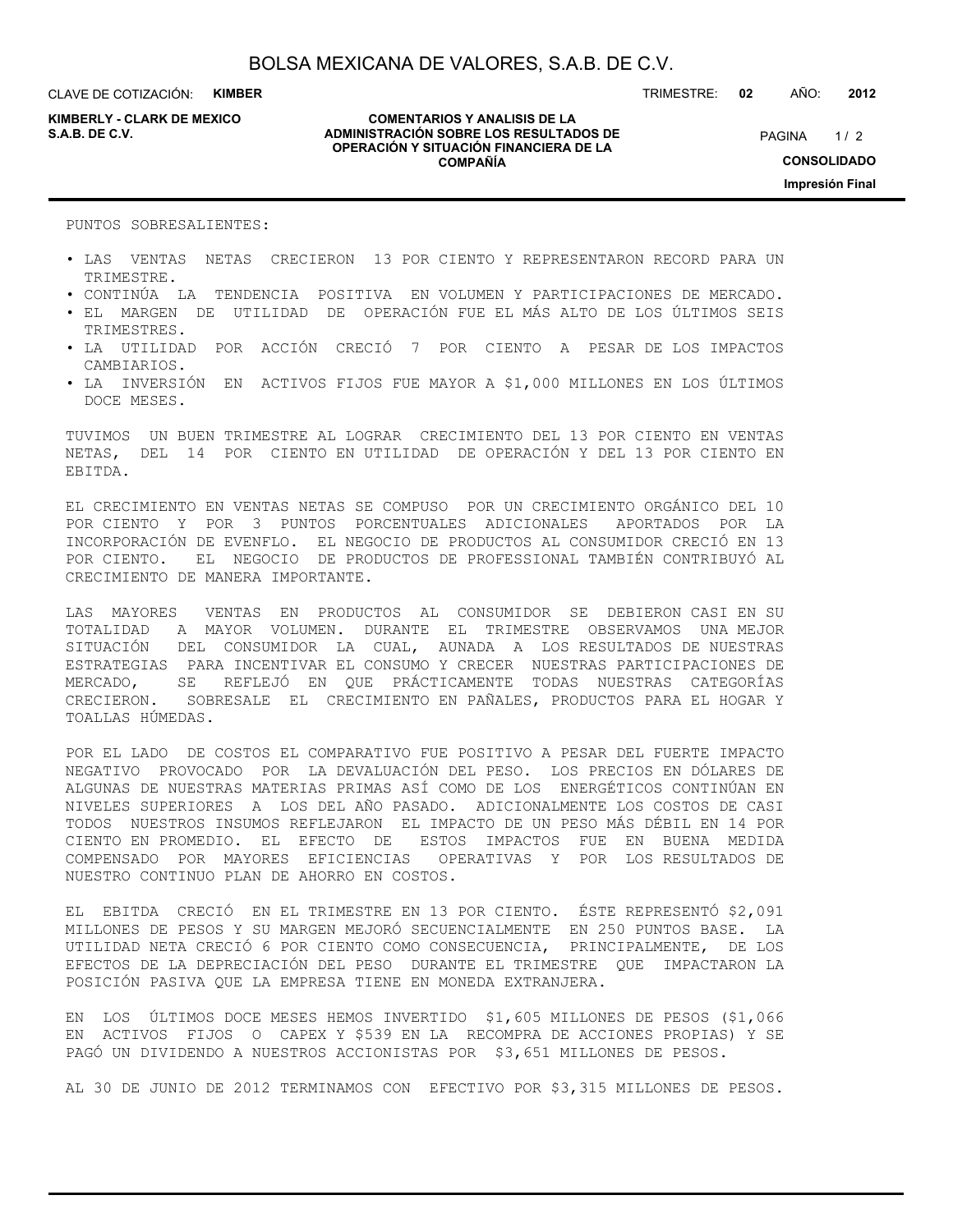CLAVE DE COTIZACIÓN: **KIMBER**

**KIMBERLY - CLARK DE MEXICO**

#### **COMENTARIOS Y ANALISIS DE LA ADMINISTRACIÓN SOBRE LOS RESULTADOS DE S.A.B. DE C.V.** PAGINA / 2 **OPERACIÓN Y SITUACIÓN FINANCIERA DE LA COMPAÑÍA**

 $1/2$ **CONSOLIDADO Impresión Final**

PUNTOS SOBRESALIENTES:

- LAS VENTAS NETAS CRECIERON 13 POR CIENTO Y REPRESENTARON RECORD PARA UN TRIMESTRE.
- CONTINÚA LA TENDENCIA POSITIVA EN VOLUMEN Y PARTICIPACIONES DE MERCADO.
- EL MARGEN DE UTILIDAD DE OPERACIÓN FUE EL MÁS ALTO DE LOS ÚLTIMOS SEIS TRIMESTRES.
- LA UTILIDAD POR ACCIÓN CRECIÓ 7 POR CIENTO A PESAR DE LOS IMPACTOS CAMBIARIOS.
- LA INVERSIÓN EN ACTIVOS FIJOS FUE MAYOR A \$1,000 MILLONES EN LOS ÚLTIMOS DOCE MESES.

TUVIMOS UN BUEN TRIMESTRE AL LOGRAR CRECIMIENTO DEL 13 POR CIENTO EN VENTAS NETAS, DEL 14 POR CIENTO EN UTILIDAD DE OPERACIÓN Y DEL 13 POR CIENTO EN EBITDA.

EL CRECIMIENTO EN VENTAS NETAS SE COMPUSO POR UN CRECIMIENTO ORGÁNICO DEL 10 POR CIENTO Y POR 3 PUNTOS PORCENTUALES ADICIONALES APORTADOS POR LA INCORPORACIÓN DE EVENFLO. EL NEGOCIO DE PRODUCTOS AL CONSUMIDOR CRECIÓ EN 13 POR CIENTO. EL NEGOCIO DE PRODUCTOS DE PROFESSIONAL TAMBIÉN CONTRIBUYÓ AL CRECIMIENTO DE MANERA IMPORTANTE.

LAS MAYORES VENTAS EN PRODUCTOS AL CONSUMIDOR SE DEBIERON CASI EN SU TOTALIDAD A MAYOR VOLUMEN. DURANTE EL TRIMESTRE OBSERVAMOS UNA MEJOR SITUACIÓN DEL CONSUMIDOR LA CUAL, AUNADA A LOS RESULTADOS DE NUESTRAS ESTRATEGIAS PARA INCENTIVAR EL CONSUMO Y CRECER NUESTRAS PARTICIPACIONES DE MERCADO, SE REFLEJÓ EN QUE PRÁCTICAMENTE TODAS NUESTRAS CATEGORÍAS CRECIERON. SOBRESALE EL CRECIMIENTO EN PAÑALES, PRODUCTOS PARA EL HOGAR Y TOALLAS HÚMEDAS.

POR EL LADO DE COSTOS EL COMPARATIVO FUE POSITIVO A PESAR DEL FUERTE IMPACTO NEGATIVO PROVOCADO POR LA DEVALUACIÓN DEL PESO. LOS PRECIOS EN DÓLARES DE ALGUNAS DE NUESTRAS MATERIAS PRIMAS ASÍ COMO DE LOS ENERGÉTICOS CONTINÚAN EN NIVELES SUPERIORES A LOS DEL AÑO PASADO. ADICIONALMENTE LOS COSTOS DE CASI TODOS NUESTROS INSUMOS REFLEJARON EL IMPACTO DE UN PESO MÁS DÉBIL EN 14 POR CIENTO EN PROMEDIO. EL EFECTO DE ESTOS IMPACTOS FUE EN BUENA MEDIDA COMPENSADO POR MAYORES EFICIENCIAS OPERATIVAS Y POR LOS RESULTADOS DE NUESTRO CONTINUO PLAN DE AHORRO EN COSTOS.

EL EBITDA CRECIÓ EN EL TRIMESTRE EN 13 POR CIENTO. ÉSTE REPRESENTÓ \$2,091 MILLONES DE PESOS Y SU MARGEN MEJORÓ SECUENCIALMENTE EN 250 PUNTOS BASE. LA UTILIDAD NETA CRECIÓ 6 POR CIENTO COMO CONSECUENCIA, PRINCIPALMENTE, DE LOS EFECTOS DE LA DEPRECIACIÓN DEL PESO DURANTE EL TRIMESTRE QUE IMPACTARON LA POSICIÓN PASIVA QUE LA EMPRESA TIENE EN MONEDA EXTRANJERA.

EN LOS ÚLTIMOS DOCE MESES HEMOS INVERTIDO \$1,605 MILLONES DE PESOS (\$1,066 EN ACTIVOS FIJOS O CAPEX Y \$539 EN LA RECOMPRA DE ACCIONES PROPIAS) Y SE PAGÓ UN DIVIDENDO A NUESTROS ACCIONISTAS POR \$3,651 MILLONES DE PESOS.

AL 30 DE JUNIO DE 2012 TERMINAMOS CON EFECTIVO POR \$3,315 MILLONES DE PESOS.

TRIMESTRE: **02** AÑO: **2012**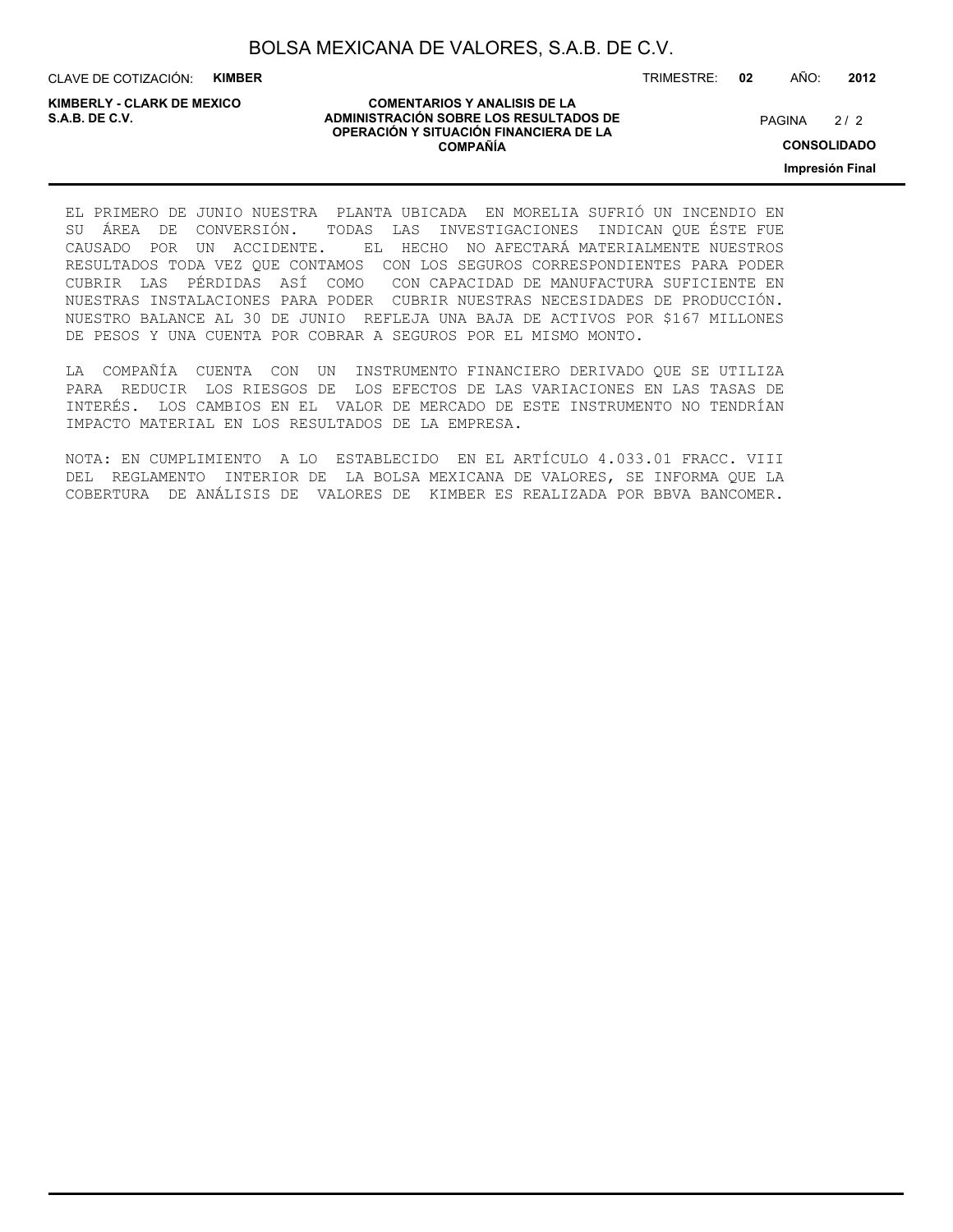CLAVE DE COTIZACIÓN: **KIMBER**

**KIMBERLY - CLARK DE MEXICO**

#### **COMENTARIOS Y ANALISIS DE LA ADMINISTRACIÓN SOBRE LOS RESULTADOS DE PAGINA 2/2 ADMINISTRACIÓN SOBRE LOS RESULTADOS DE** PAGINA 2/2 **OPERACIÓN Y SITUACIÓN FINANCIERA DE LA COMPAÑÍA**

 $2/2$ 

TRIMESTRE: **02** AÑO: **2012**

**CONSOLIDADO**

**Impresión Final**

EL PRIMERO DE JUNIO NUESTRA PLANTA UBICADA EN MORELIA SUFRIÓ UN INCENDIO EN SU ÁREA DE CONVERSIÓN. TODAS LAS INVESTIGACIONES INDICAN QUE ÉSTE FUE CAUSADO POR UN ACCIDENTE. EL HECHO NO AFECTARÁ MATERIALMENTE NUESTROS RESULTADOS TODA VEZ QUE CONTAMOS CON LOS SEGUROS CORRESPONDIENTES PARA PODER CUBRIR LAS PÉRDIDAS ASÍ COMO CON CAPACIDAD DE MANUFACTURA SUFICIENTE EN NUESTRAS INSTALACIONES PARA PODER CUBRIR NUESTRAS NECESIDADES DE PRODUCCIÓN. NUESTRO BALANCE AL 30 DE JUNIO REFLEJA UNA BAJA DE ACTIVOS POR \$167 MILLONES DE PESOS Y UNA CUENTA POR COBRAR A SEGUROS POR EL MISMO MONTO.

LA COMPAÑÍA CUENTA CON UN INSTRUMENTO FINANCIERO DERIVADO QUE SE UTILIZA PARA REDUCIR LOS RIESGOS DE LOS EFECTOS DE LAS VARIACIONES EN LAS TASAS DE INTERÉS. LOS CAMBIOS EN EL VALOR DE MERCADO DE ESTE INSTRUMENTO NO TENDRÍAN IMPACTO MATERIAL EN LOS RESULTADOS DE LA EMPRESA.

NOTA: EN CUMPLIMIENTO A LO ESTABLECIDO EN EL ARTÍCULO 4.033.01 FRACC. VIII DEL REGLAMENTO INTERIOR DE LA BOLSA MEXICANA DE VALORES, SE INFORMA QUE LA COBERTURA DE ANÁLISIS DE VALORES DE KIMBER ES REALIZADA POR BBVA BANCOMER.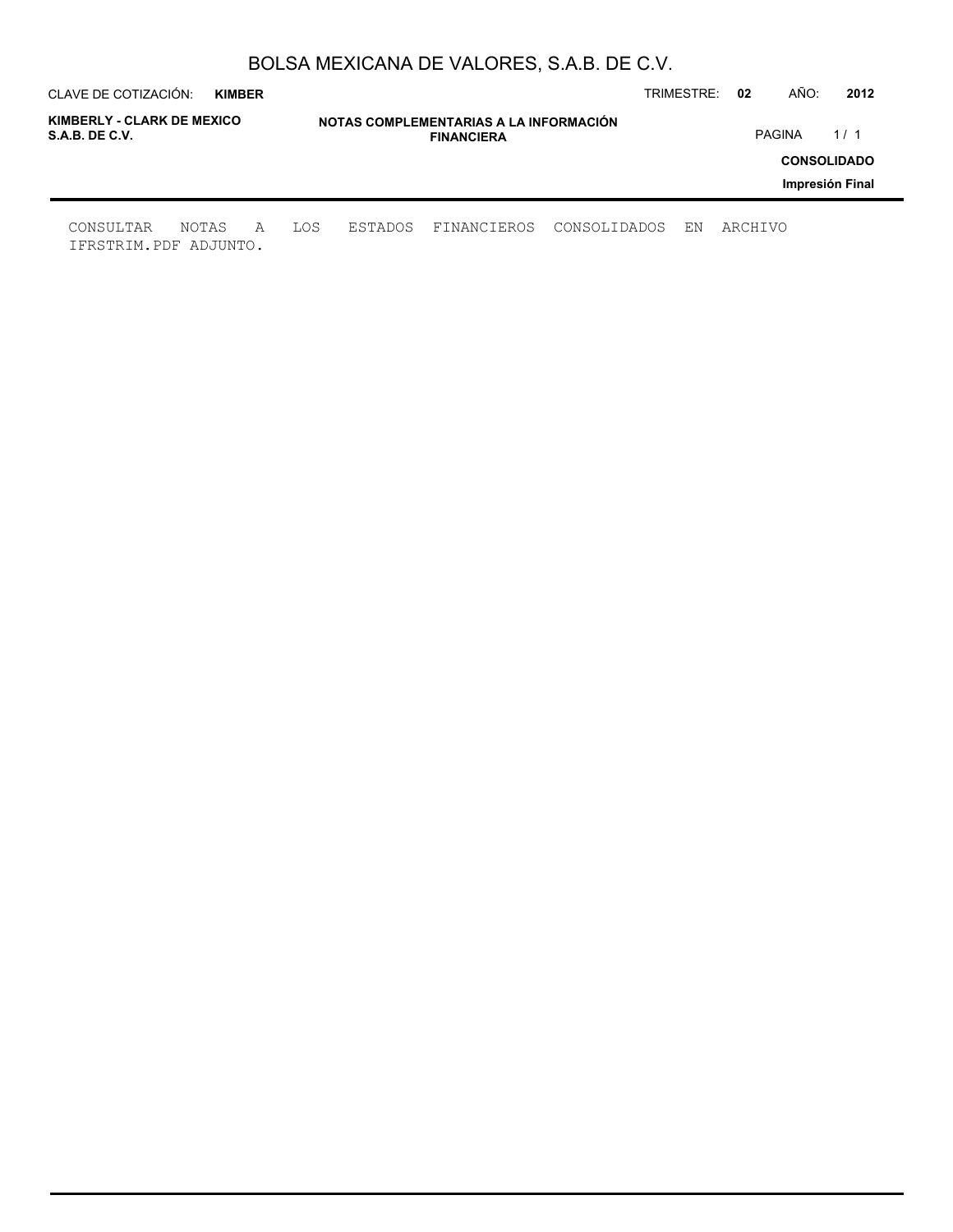| CLAVE DE COTIZACIÓN:                         | <b>KIMBER</b> |   |     |         |                                                             |              | TRIMESTRE: | 02      | AÑO:          | 2012               |
|----------------------------------------------|---------------|---|-----|---------|-------------------------------------------------------------|--------------|------------|---------|---------------|--------------------|
| KIMBERLY - CLARK DE MEXICO<br>S.A.B. DE C.V. |               |   |     |         | NOTAS COMPLEMENTARIAS A LA INFORMACIÓN<br><b>FINANCIERA</b> |              |            |         | <b>PAGINA</b> | 1/1                |
|                                              |               |   |     |         |                                                             |              |            |         |               | <b>CONSOLIDADO</b> |
|                                              |               |   |     |         |                                                             |              |            |         |               | Impresión Final    |
| CONSULTAR<br>IFRSTRIM.PDF ADJUNTO.           | NOTAS         | A | LOS | ESTADOS | FINANCIEROS                                                 | CONSOLIDADOS | EN         | ARCHIVO |               |                    |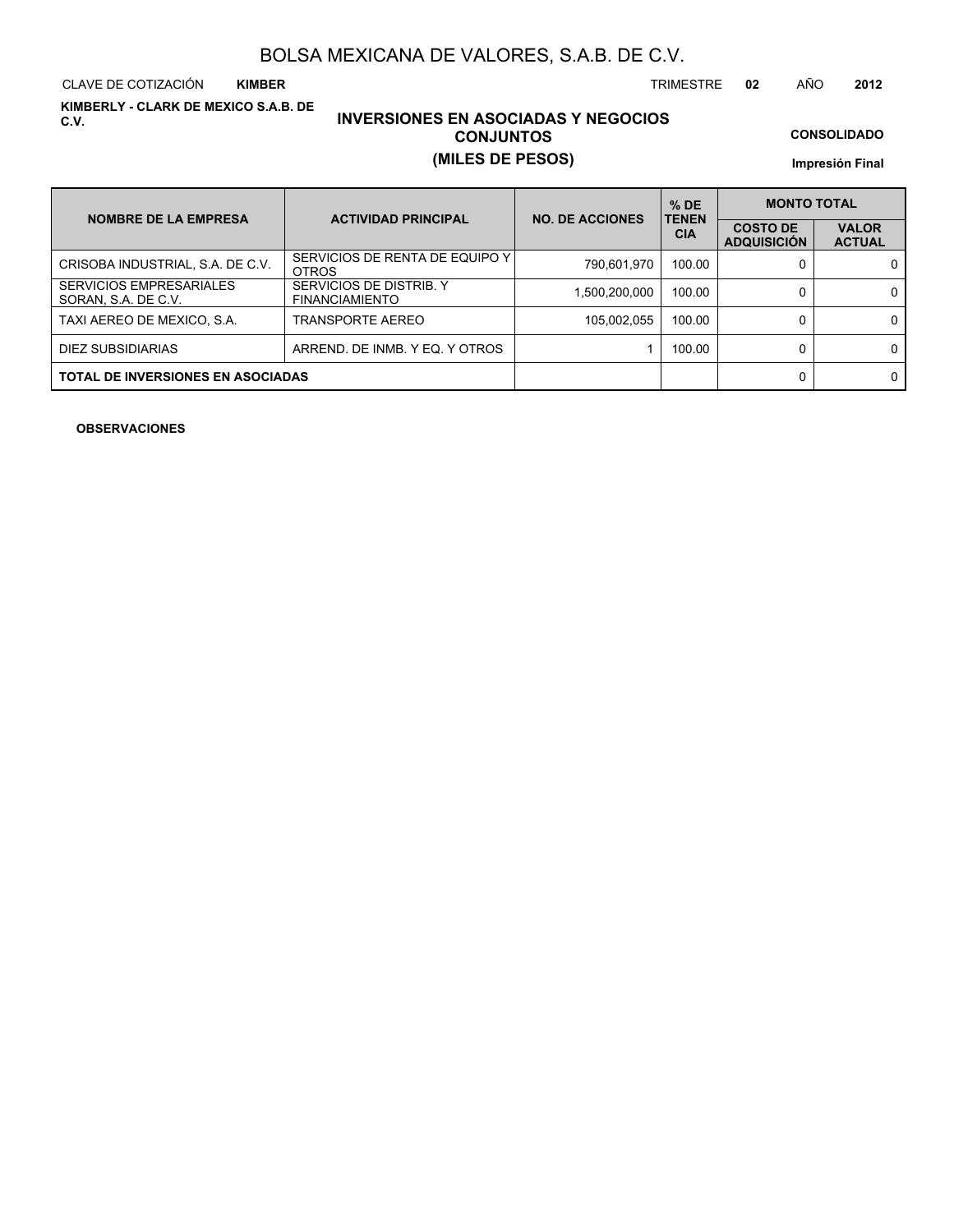CLAVE DE COTIZACIÓN TRIMESTRE **02** AÑO **2012 KIMBER**

**KIMBERLY - CLARK DE MEXICO S.A.B. DE C.V.**

### **INVERSIONES EN ASOCIADAS Y NEGOCIOS CONJUNTOS (MILES DE PESOS)**

**CONSOLIDADO**

**Impresión Final**

| <b>NOMBRE DE LA EMPRESA</b>                           | <b>ACTIVIDAD PRINCIPAL</b>                       | <b>NO. DE ACCIONES</b> | $%$ DE<br><b>TENEN</b> |                                       | <b>MONTO TOTAL</b>            |  |  |  |
|-------------------------------------------------------|--------------------------------------------------|------------------------|------------------------|---------------------------------------|-------------------------------|--|--|--|
|                                                       |                                                  |                        | <b>CIA</b>             | <b>COSTO DE</b><br><b>ADQUISICIÓN</b> | <b>VALOR</b><br><b>ACTUAL</b> |  |  |  |
| CRISOBA INDUSTRIAL, S.A. DE C.V.                      | SERVICIOS DE RENTA DE EQUIPO Y I<br><b>OTROS</b> | 790,601,970            | 100.00                 |                                       | 0                             |  |  |  |
| <b>SERVICIOS EMPRESARIALES</b><br>SORAN, S.A. DE C.V. | SERVICIOS DE DISTRIB. Y<br><b>FINANCIAMIENTO</b> | 1.500.200.000          | 100.00                 |                                       | 0                             |  |  |  |
| TAXI AEREO DE MEXICO, S.A.                            | <b>TRANSPORTE AEREO</b>                          | 105,002,055            | 100.00                 |                                       | 0                             |  |  |  |
| DIEZ SUBSIDIARIAS                                     | ARREND. DE INMB. Y EQ. Y OTROS                   |                        | 100.00                 |                                       | 0                             |  |  |  |
| <b>TOTAL DE INVERSIONES EN ASOCIADAS</b>              |                                                  |                        |                        |                                       | 0                             |  |  |  |

**OBSERVACIONES**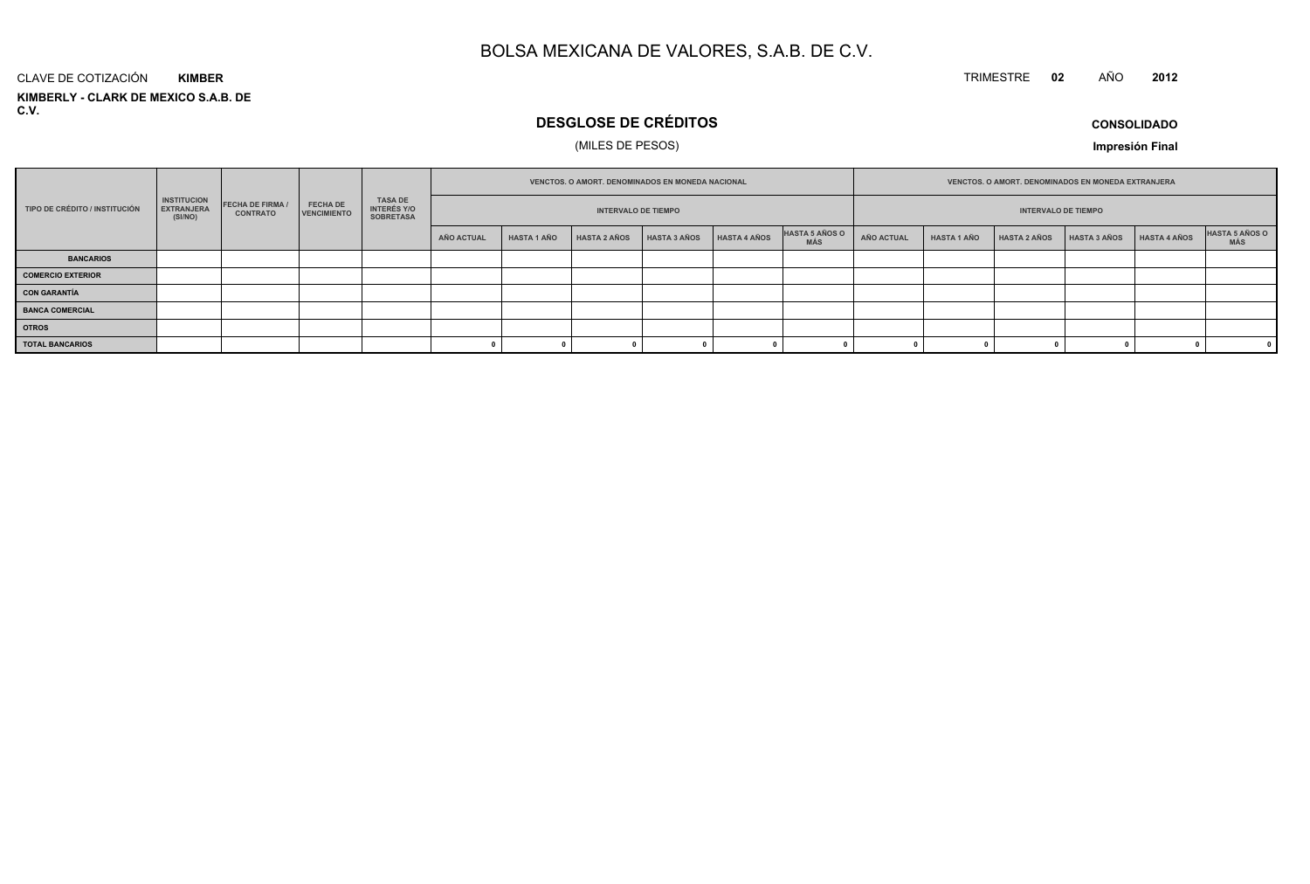#### TRIMESTRE **<sup>02</sup>** AÑO**<sup>2012</sup>**

#### **KIMBERLY - CLARK DE MEXICO S.A.B. DE C.V.**CLAVE DE COTIZACIÓN**KIMBER**

### **DESGLOSE DE CRÉDITOS**

#### (MILES DE PESOS)

**CONSOLIDADO**

**Impresión Final**

|                               |                                                    |                                                                                                                                                                                                           |  |  |            |                    |                     | VENCTOS. O AMORT. DENOMINADOS EN MONEDA NACIONAL |                     |                              | VENCTOS. O AMORT. DENOMINADOS EN MONEDA EXTRANJERA |                    |                     |                     |              |                       |
|-------------------------------|----------------------------------------------------|-----------------------------------------------------------------------------------------------------------------------------------------------------------------------------------------------------------|--|--|------------|--------------------|---------------------|--------------------------------------------------|---------------------|------------------------------|----------------------------------------------------|--------------------|---------------------|---------------------|--------------|-----------------------|
| TIPO DE CRÉDITO / INSTITUCIÓN | <b>INSTITUCION</b><br><b>EXTRANJERA</b><br>(SI/NO) | <b>TASA DE</b><br><b>FECHA DE FIRMA</b><br><b>FECHA DE</b><br><b>INTERÉS Y/O</b><br><b>INTERVALO DE TIEMPO</b><br><b>INTERVALO DE TIEMPO</b><br><b>VENCIMIENTO</b><br><b>CONTRATO</b><br><b>SOBRETASA</b> |  |  |            |                    |                     |                                                  |                     |                              |                                                    |                    |                     |                     |              |                       |
|                               |                                                    |                                                                                                                                                                                                           |  |  | AÑO ACTUAL | <b>HASTA 1 AÑO</b> | <b>HASTA 2 AÑOS</b> | HASTA 3 AÑOS                                     | <b>HASTA 4 AÑOS</b> | HASTA 5 AÑOS O<br><b>MÁS</b> | AÑO ACTUAL                                         | <b>HASTA 1 AÑO</b> | <b>HASTA 2 AÑOS</b> | <b>HASTA 3 AÑOS</b> | HASTA 4 AÑOS | HASTA 5 AÑOS O<br>MÁS |
| <b>BANCARIOS</b>              |                                                    |                                                                                                                                                                                                           |  |  |            |                    |                     |                                                  |                     |                              |                                                    |                    |                     |                     |              |                       |
| <b>COMERCIO EXTERIOR</b>      |                                                    |                                                                                                                                                                                                           |  |  |            |                    |                     |                                                  |                     |                              |                                                    |                    |                     |                     |              |                       |
| <b>CON GARANTÍA</b>           |                                                    |                                                                                                                                                                                                           |  |  |            |                    |                     |                                                  |                     |                              |                                                    |                    |                     |                     |              |                       |
| <b>BANCA COMERCIAL</b>        |                                                    |                                                                                                                                                                                                           |  |  |            |                    |                     |                                                  |                     |                              |                                                    |                    |                     |                     |              |                       |
| <b>OTROS</b>                  |                                                    |                                                                                                                                                                                                           |  |  |            |                    |                     |                                                  |                     |                              |                                                    |                    |                     |                     |              |                       |
| <b>TOTAL BANCARIOS</b>        |                                                    |                                                                                                                                                                                                           |  |  |            |                    |                     |                                                  |                     |                              |                                                    |                    |                     |                     |              |                       |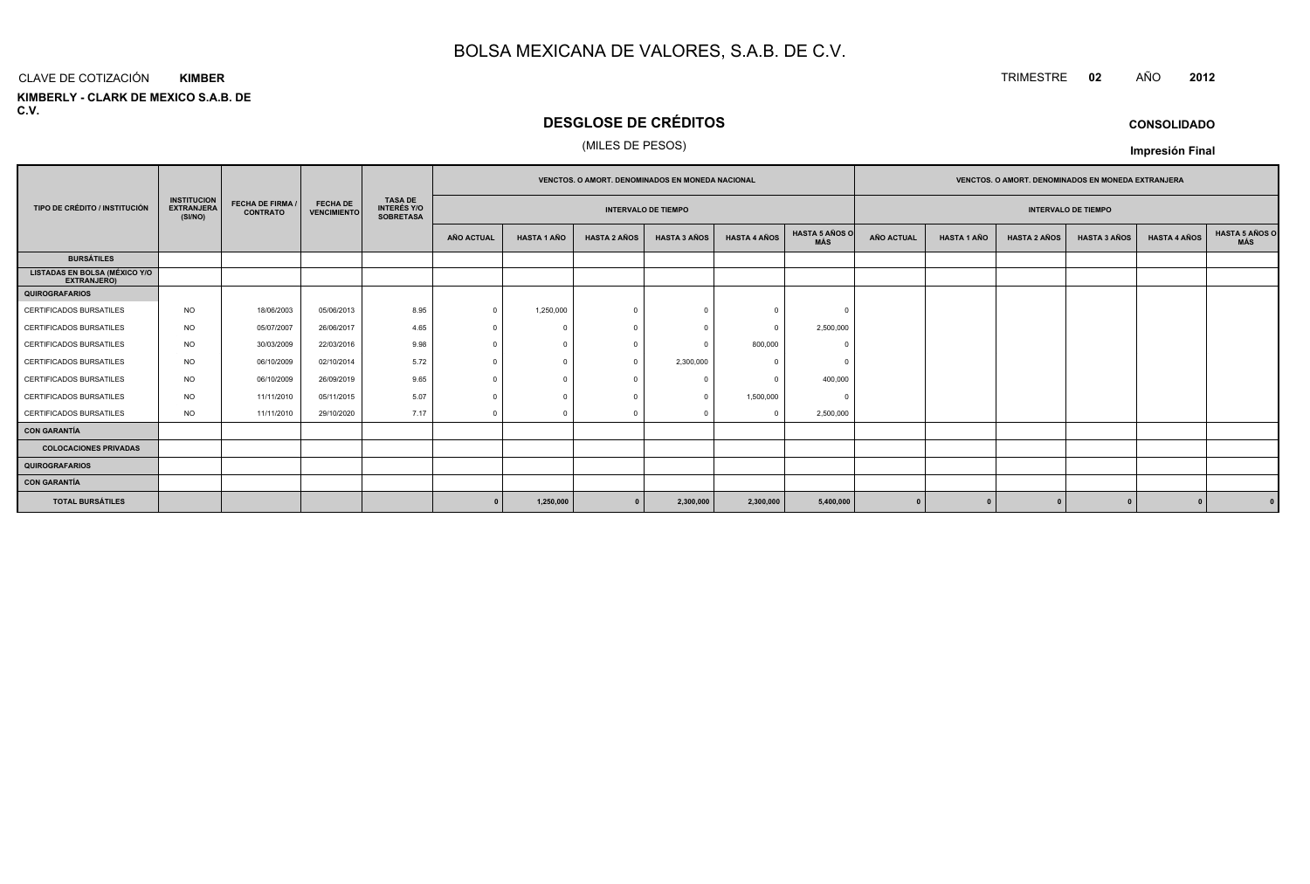#### CLAVE DE COTIZACIÓN**KIMBER**

**KIMBERLY - CLARK DE MEXICO S.A.B. DE C.V.**

### **DESGLOSE DE CRÉDITOS**

#### (MILES DE PESOS)

|                                                     |                                                    |                                            |                                       |                                                          | <b>VENCTOS, O AMORT, DENOMINADOS EN MONEDA NACIONAL</b><br><b>VENCTOS, O AMORT, DENOMINADOS EN MONEDA EXTRANJERA</b> |                                                          |                     |                     |                     |                              |            |                    |                     |                     |                     |                              |
|-----------------------------------------------------|----------------------------------------------------|--------------------------------------------|---------------------------------------|----------------------------------------------------------|----------------------------------------------------------------------------------------------------------------------|----------------------------------------------------------|---------------------|---------------------|---------------------|------------------------------|------------|--------------------|---------------------|---------------------|---------------------|------------------------------|
| TIPO DE CRÉDITO / INSTITUCIÓN                       | <b>INSTITUCION</b><br><b>EXTRANJERA</b><br>(SI/NO) | <b>FECHA DE FIRMA /</b><br><b>CONTRATO</b> | <b>FECHA DE</b><br><b>VENCIMIENTO</b> | <b>TASA DE</b><br><b>INTERÉS Y/O</b><br><b>SOBRETASA</b> |                                                                                                                      | <b>INTERVALO DE TIEMPO</b><br><b>INTERVALO DE TIEMPO</b> |                     |                     |                     |                              |            |                    |                     |                     |                     |                              |
|                                                     |                                                    |                                            |                                       |                                                          | AÑO ACTUAL                                                                                                           | <b>HASTA 1 AÑO</b>                                       | <b>HASTA 2 AÑOS</b> | <b>HASTA 3 AÑOS</b> | <b>HASTA 4 AÑOS</b> | <b>HASTA 5 AÑOS O</b><br>MÁS | AÑO ACTUAL | <b>HASTA 1 AÑO</b> | <b>HASTA 2 AÑOS</b> | <b>HASTA 3 AÑOS</b> | <b>HASTA 4 AÑOS</b> | <b>HASTA 5 AÑOS C</b><br>MÁS |
| <b>BURSÁTILES</b>                                   |                                                    |                                            |                                       |                                                          |                                                                                                                      |                                                          |                     |                     |                     |                              |            |                    |                     |                     |                     |                              |
| <b>LISTADAS EN BOLSA (MÉXICO Y/O</b><br>EXTRANJERO) |                                                    |                                            |                                       |                                                          |                                                                                                                      |                                                          |                     |                     |                     |                              |            |                    |                     |                     |                     |                              |
| <b>QUIROGRAFARIOS</b>                               |                                                    |                                            |                                       |                                                          |                                                                                                                      |                                                          |                     |                     |                     |                              |            |                    |                     |                     |                     |                              |
| <b>CERTIFICADOS BURSATILES</b>                      | <b>NO</b>                                          | 18/06/2003                                 | 05/06/2013                            | 8.95                                                     |                                                                                                                      | 1,250,000                                                | $\cap$              |                     | $\Omega$            |                              |            |                    |                     |                     |                     |                              |
| <b>CERTIFICADOS BURSATILES</b>                      | <b>NO</b>                                          | 05/07/2007                                 | 26/06/2017                            | 4.65                                                     | $\Omega$                                                                                                             |                                                          | $\bigcap$           |                     | $\Omega$            | 2,500,000                    |            |                    |                     |                     |                     |                              |
| <b>CERTIFICADOS BURSATILES</b>                      | NO.                                                | 30/03/2009                                 | 22/03/2016                            | 9.98                                                     | $\Omega$                                                                                                             |                                                          |                     |                     | 800,000             |                              |            |                    |                     |                     |                     |                              |
| CERTIFICADOS BURSATILES                             | <b>NO</b>                                          | 06/10/2009                                 | 02/10/2014                            | 5.72                                                     |                                                                                                                      |                                                          |                     | 2,300,000           | $\Omega$            |                              |            |                    |                     |                     |                     |                              |
| <b>CERTIFICADOS BURSATILES</b>                      | <b>NO</b>                                          | 06/10/2009                                 | 26/09/2019                            | 9.65                                                     | $\sqrt{ }$                                                                                                           |                                                          |                     |                     | $\Omega$            | 400,000                      |            |                    |                     |                     |                     |                              |
| CERTIFICADOS BURSATILES                             | <b>NO</b>                                          | 11/11/2010                                 | 05/11/2015                            | 5.07                                                     |                                                                                                                      |                                                          |                     |                     | 1,500,000           | - 0                          |            |                    |                     |                     |                     |                              |
| <b>CERTIFICADOS BURSATILES</b>                      | <b>NO</b>                                          | 11/11/2010                                 | 29/10/2020                            | 7.17                                                     | $\Omega$                                                                                                             | $\Omega$                                                 | $\cap$              |                     | $^{\circ}$          | 2,500,000                    |            |                    |                     |                     |                     |                              |
| <b>CON GARANTÍA</b>                                 |                                                    |                                            |                                       |                                                          |                                                                                                                      |                                                          |                     |                     |                     |                              |            |                    |                     |                     |                     |                              |
| <b>COLOCACIONES PRIVADAS</b>                        |                                                    |                                            |                                       |                                                          |                                                                                                                      |                                                          |                     |                     |                     |                              |            |                    |                     |                     |                     |                              |
| <b>QUIROGRAFARIOS</b>                               |                                                    |                                            |                                       |                                                          |                                                                                                                      |                                                          |                     |                     |                     |                              |            |                    |                     |                     |                     |                              |
| <b>CON GARANTÍA</b>                                 |                                                    |                                            |                                       |                                                          |                                                                                                                      |                                                          |                     |                     |                     |                              |            |                    |                     |                     |                     |                              |
| <b>TOTAL BURSÁTILES</b>                             |                                                    |                                            |                                       |                                                          |                                                                                                                      | 1,250,000                                                |                     | 2,300,000           | 2,300,000           | 5,400,000                    |            |                    |                     |                     |                     |                              |

**CONSOLIDADO**

**Impresión Final**

### TRIMESTRE **<sup>02</sup>** AÑO **<sup>2012</sup>**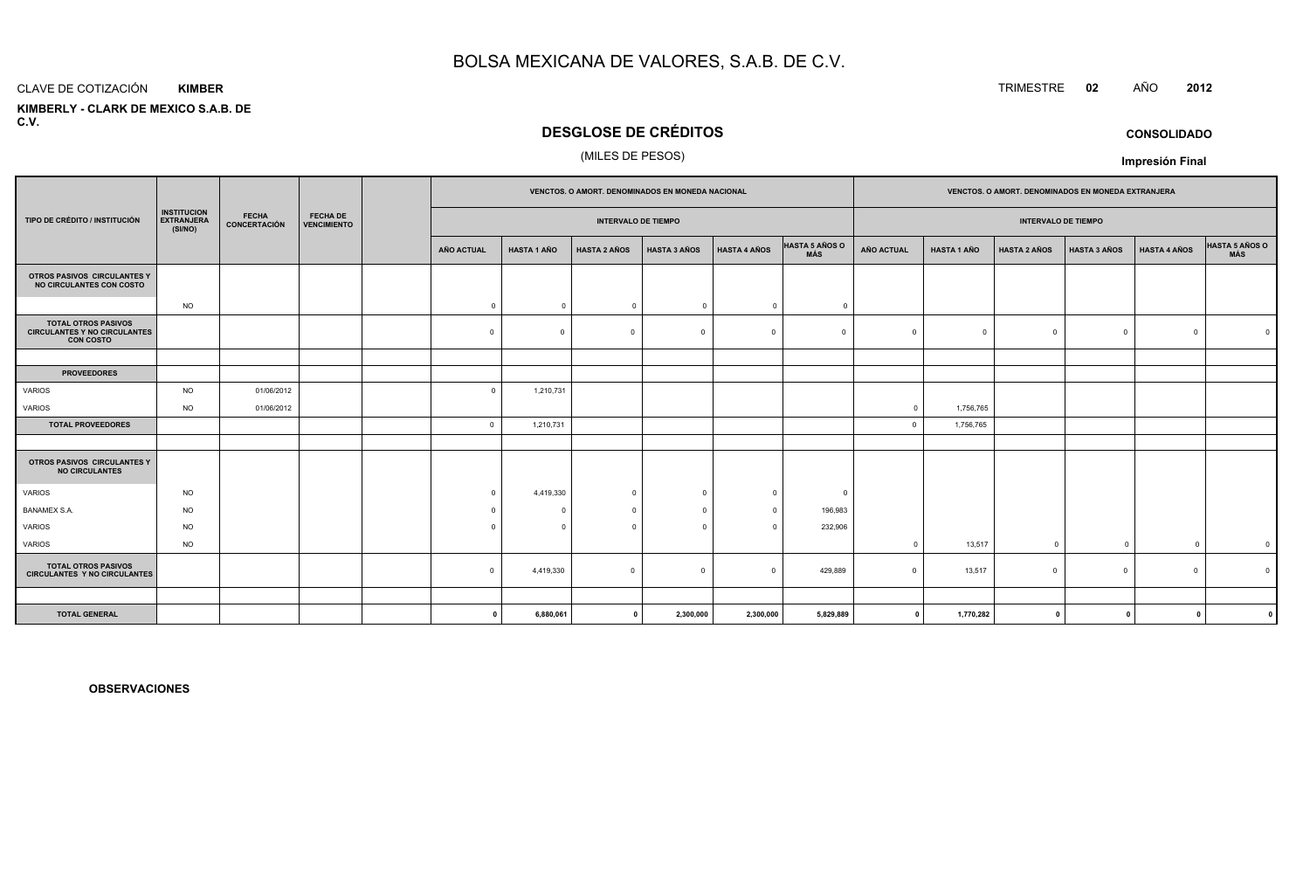#### CLAVE DE COTIZACIÓN**KIMBER**

 **KIMBERLY - CLARK DE MEXICO S.A.B. DEC.V.**

### **DESGLOSE DE CRÉDITOS**

#### (MILES DE PESOS)

|                                                                                       |                                                    |                              | <b>FECHA DE</b><br><b>VENCIMIENTO</b> |                            | <b>VENCTOS, O AMORT, DENOMINADOS EN MONEDA NACIONAL</b> |                     |                     |                     | <b>VENCTOS, O AMORT, DENOMINADOS EN MONEDA EXTRANJERA</b> |                   |                    |                     |                     |                     |                         |
|---------------------------------------------------------------------------------------|----------------------------------------------------|------------------------------|---------------------------------------|----------------------------|---------------------------------------------------------|---------------------|---------------------|---------------------|-----------------------------------------------------------|-------------------|--------------------|---------------------|---------------------|---------------------|-------------------------|
| TIPO DE CRÉDITO / INSTITUCIÓN                                                         | <b>INSTITUCION</b><br><b>EXTRANJERA</b><br>(SI/NO) | <b>FECHA</b><br>CONCERTACIÓN |                                       | <b>INTERVALO DE TIEMPO</b> |                                                         |                     |                     |                     | <b>INTERVALO DE TIEMPO</b>                                |                   |                    |                     |                     |                     |                         |
|                                                                                       |                                                    |                              |                                       | AÑO ACTUAL                 | <b>HASTA 1 AÑO</b>                                      | <b>HASTA 2 AÑOS</b> | <b>HASTA 3 AÑOS</b> | <b>HASTA 4 AÑOS</b> | <b>HASTA 5 AÑOS O</b><br>MÁS                              | <b>AÑO ACTUAL</b> | <b>HASTA 1 AÑO</b> | <b>HASTA 2 AÑOS</b> | <b>HASTA 3 AÑOS</b> | <b>HASTA 4 AÑOS</b> | HASTA 5 AÑOS O          |
| OTROS PASIVOS CIRCULANTES Y<br>NO CIRCULANTES CON COSTO                               |                                                    |                              |                                       |                            |                                                         |                     |                     |                     |                                                           |                   |                    |                     |                     |                     |                         |
|                                                                                       | <b>NO</b>                                          |                              |                                       | $\overline{\mathbf{0}}$    | $\Omega$                                                | $\overline{0}$      | $\Omega$            | $\circ$             | $\Omega$                                                  |                   |                    |                     |                     |                     |                         |
| <b>TOTAL OTROS PASIVOS</b><br><b>CIRCULANTES Y NO CIRCULANTES</b><br><b>CON COSTO</b> |                                                    |                              |                                       | $\Omega$                   | $\Omega$                                                | $\Omega$            | $\Omega$            | $\Omega$            | $\Omega$                                                  | $\Omega$          | $\Omega$           | $\Omega$            | $\mathbf 0$         | $\Omega$            |                         |
|                                                                                       |                                                    |                              |                                       |                            |                                                         |                     |                     |                     |                                                           |                   |                    |                     |                     |                     |                         |
| <b>PROVEEDORES</b>                                                                    |                                                    |                              |                                       |                            |                                                         |                     |                     |                     |                                                           |                   |                    |                     |                     |                     |                         |
| <b>VARIOS</b>                                                                         | <b>NO</b>                                          | 01/06/2012                   |                                       | $\Omega$                   | 1,210,731                                               |                     |                     |                     |                                                           |                   |                    |                     |                     |                     |                         |
| VARIOS                                                                                | <b>NO</b>                                          | 01/06/2012                   |                                       |                            |                                                         |                     |                     |                     |                                                           | $\circ$           | 1,756,765          |                     |                     |                     |                         |
| <b>TOTAL PROVEEDORES</b>                                                              |                                                    |                              |                                       | $\overline{0}$             | 1,210,731                                               |                     |                     |                     |                                                           | $\Omega$          | 1,756,765          |                     |                     |                     |                         |
| OTROS PASIVOS CIRCULANTES Y<br><b>NO CIRCULANTES</b>                                  |                                                    |                              |                                       |                            |                                                         |                     |                     |                     |                                                           |                   |                    |                     |                     |                     |                         |
| <b>VARIOS</b>                                                                         | <b>NO</b>                                          |                              |                                       | $\Omega$                   | 4,419,330                                               | $\overline{0}$      | $\Omega$            | $\Omega$            | 0                                                         |                   |                    |                     |                     |                     |                         |
| <b>BANAMEX S.A.</b>                                                                   | <b>NO</b>                                          |                              |                                       | $\Omega$                   |                                                         | $\Omega$            | $\bigcap$           | $\Omega$            | 196,983                                                   |                   |                    |                     |                     |                     |                         |
| <b>VARIOS</b>                                                                         | <b>NO</b>                                          |                              |                                       | $\Omega$                   | $\Omega$                                                | $\Omega$            | $\Omega$            | $\Omega$            | 232,906                                                   |                   |                    |                     |                     |                     |                         |
| VARIOS                                                                                | <b>NO</b>                                          |                              |                                       |                            |                                                         |                     |                     |                     |                                                           | $\Omega$          | 13,517             | $\Omega$            | $\overline{0}$      | $^{\circ}$          | $\overline{\mathbf{0}}$ |
| <b>TOTAL OTROS PASIVOS</b><br><b>CIRCULANTES Y NO CIRCULANTES</b>                     |                                                    |                              |                                       | $\Omega$                   | 4,419,330                                               | $\circ$             | $\Omega$            | $\Omega$            | 429,889                                                   | $\Omega$          | 13,517             | $\Omega$            | $\circ$             | $\Omega$            |                         |
|                                                                                       |                                                    |                              |                                       |                            |                                                         |                     |                     |                     |                                                           |                   |                    |                     |                     |                     |                         |
| <b>TOTAL GENERAL</b>                                                                  |                                                    |                              |                                       | - 0                        | 6,880,061                                               | $\mathbf{0}$        | 2,300,000           | 2,300,000           | 5,829,889                                                 | $\mathbf{0}$      | 1,770,282          | $\mathbf{0}$        | $\mathbf{0}$        |                     |                         |

**OBSERVACIONES**

### TRIMESTRE **<sup>02</sup>** AÑO **<sup>2012</sup>**

**Impresión Final**

**CONSOLIDADO**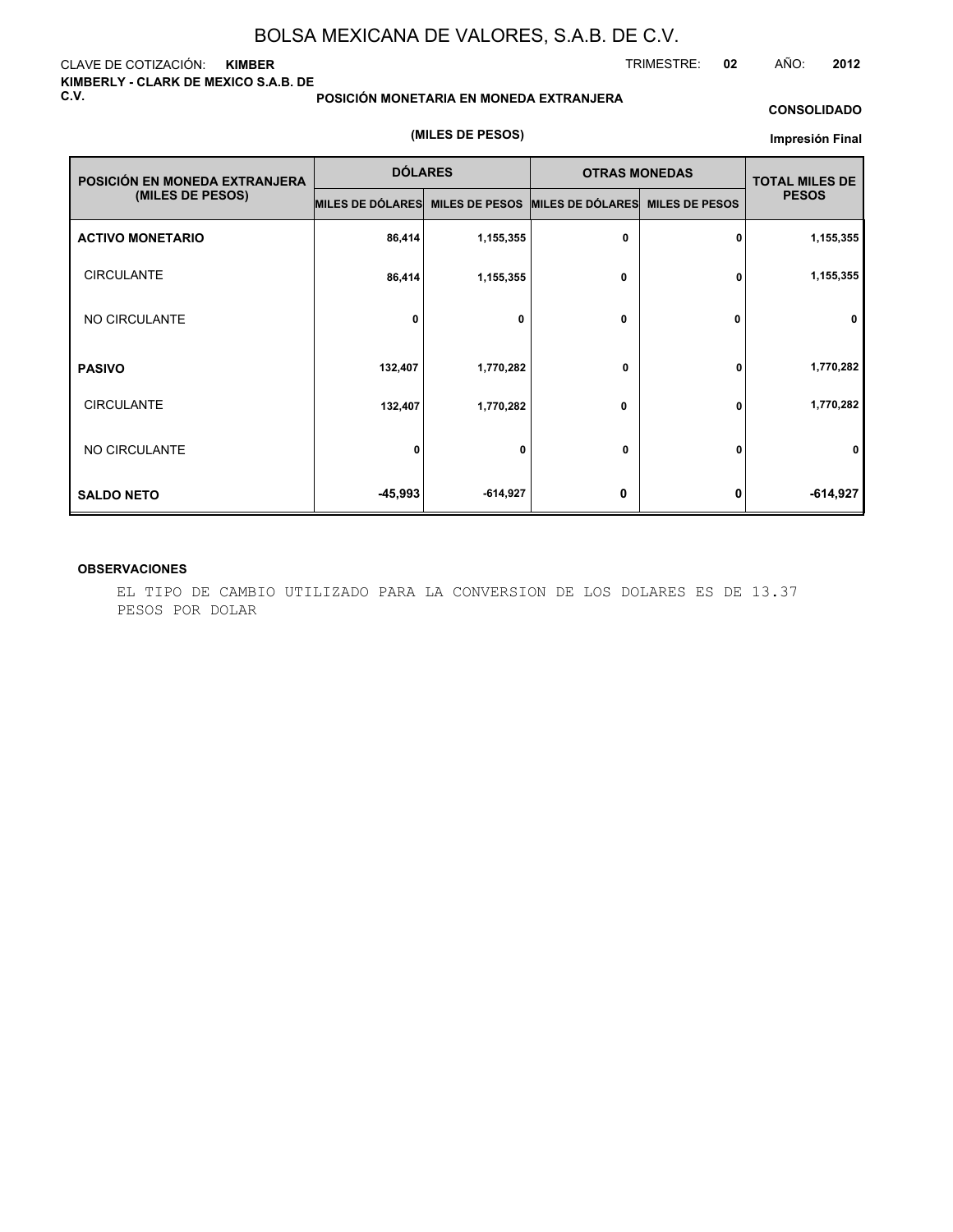#### CLAVE DE COTIZACIÓN: **KIMBER KIMBERLY - CLARK DE MEXICO S.A.B. DE C.V.**

#### **POSICIÓN MONETARIA EN MONEDA EXTRANJERA**

#### **CONSOLIDADO**

#### **(MILES DE PESOS)**

#### **Impresión Final**

| POSICIÓN EN MONEDA EXTRANJERA | <b>DÓLARES</b>   |                       | <b>OTRAS MONEDAS</b> | <b>TOTAL MILES DE</b> |              |
|-------------------------------|------------------|-----------------------|----------------------|-----------------------|--------------|
| (MILES DE PESOS)              | MILES DE DÓLARES | <b>MILES DE PESOS</b> | MILES DE DÓLARES     | <b>MILES DE PESOS</b> | <b>PESOS</b> |
| <b>ACTIVO MONETARIO</b>       | 86,414           | 1,155,355             | $\mathbf 0$          | 0                     | 1,155,355    |
| <b>CIRCULANTE</b>             | 86,414           | 1,155,355             | 0                    | 0                     | 1,155,355    |
| NO CIRCULANTE                 | 0                | 0                     | $\mathbf 0$          | 0                     | 0            |
| <b>PASIVO</b>                 | 132,407          | 1,770,282             | 0                    | 0                     | 1,770,282    |
| <b>CIRCULANTE</b>             | 132,407          | 1,770,282             | 0                    | 0                     | 1,770,282    |
| NO CIRCULANTE                 | $\mathbf{0}$     | 0                     | 0                    | $\mathbf{0}$          | 0            |
| <b>SALDO NETO</b>             | $-45,993$        | $-614,927$            | 0                    | 0                     | $-614,927$   |

#### **OBSERVACIONES**

EL TIPO DE CAMBIO UTILIZADO PARA LA CONVERSION DE LOS DOLARES ES DE 13.37 PESOS POR DOLAR

TRIMESTRE: **02** AÑO: **2012**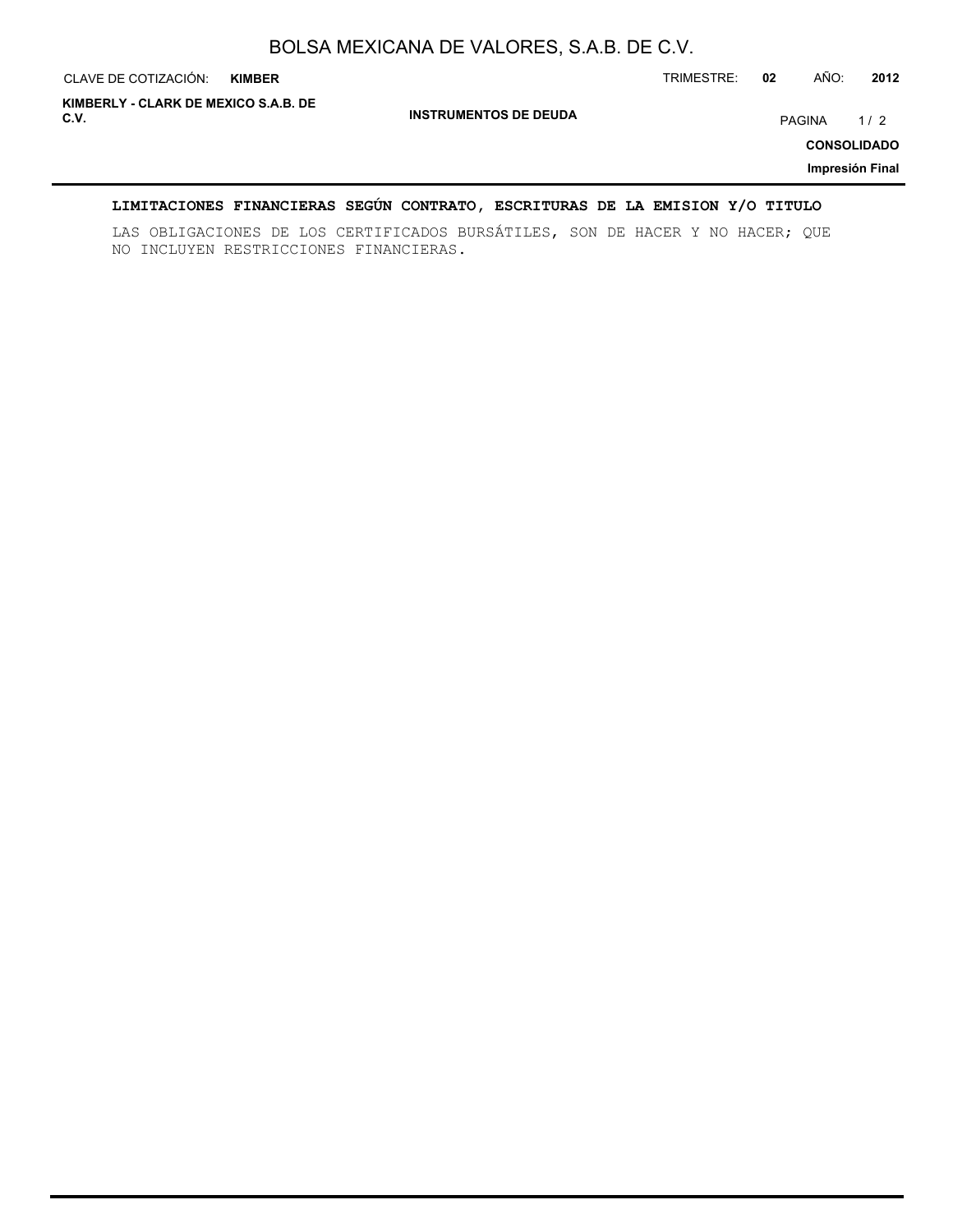| CLAVE DE COTIZACIÓN:                         | <b>KIMBER</b> |                              | TRIMESTRE: | 02 | AÑO:   | 2012                                         |
|----------------------------------------------|---------------|------------------------------|------------|----|--------|----------------------------------------------|
| KIMBERLY - CLARK DE MEXICO S.A.B. DE<br>C.V. |               | <b>INSTRUMENTOS DE DEUDA</b> |            |    | PAGINA | 1/2<br><b>CONSOLIDADO</b><br>Impresión Final |

#### **LIMITACIONES FINANCIERAS SEGÚN CONTRATO, ESCRITURAS DE LA EMISION Y/O TITULO**

LAS OBLIGACIONES DE LOS CERTIFICADOS BURSÁTILES, SON DE HACER Y NO HACER; QUE NO INCLUYEN RESTRICCIONES FINANCIERAS.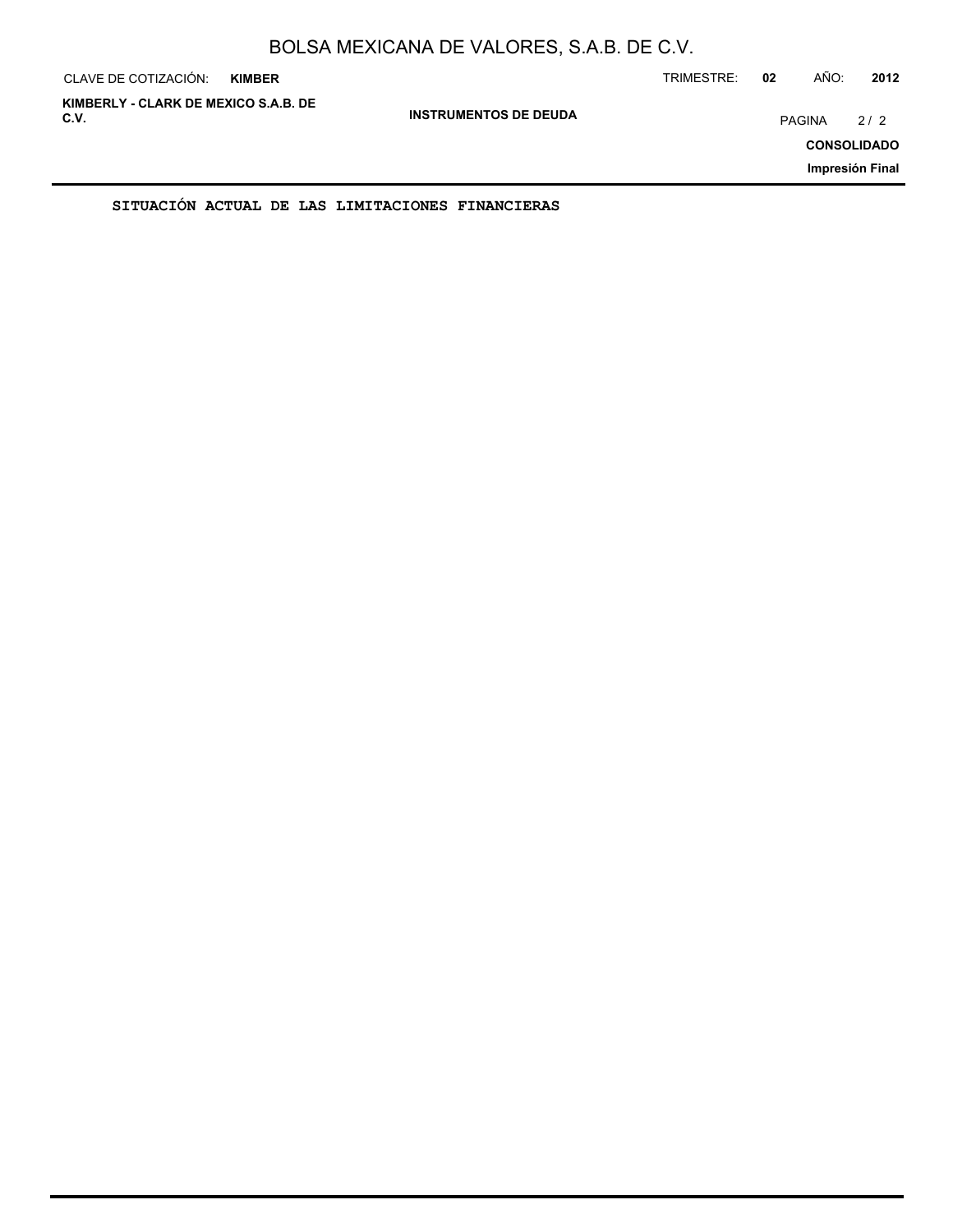| CLAVE DE COTIZACIÓN:                         | <b>KIMBER</b> |                              | TRIMESTRE: | 02     | AÑO: | 2012                                         |
|----------------------------------------------|---------------|------------------------------|------------|--------|------|----------------------------------------------|
| KIMBERLY - CLARK DE MEXICO S.A.B. DE<br>C.V. |               | <b>INSTRUMENTOS DE DEUDA</b> |            | PAGINA |      | 2/2<br><b>CONSOLIDADO</b><br>Impresión Final |
|                                              |               |                              |            |        |      |                                              |

**SITUACIÓN ACTUAL DE LAS LIMITACIONES FINANCIERAS**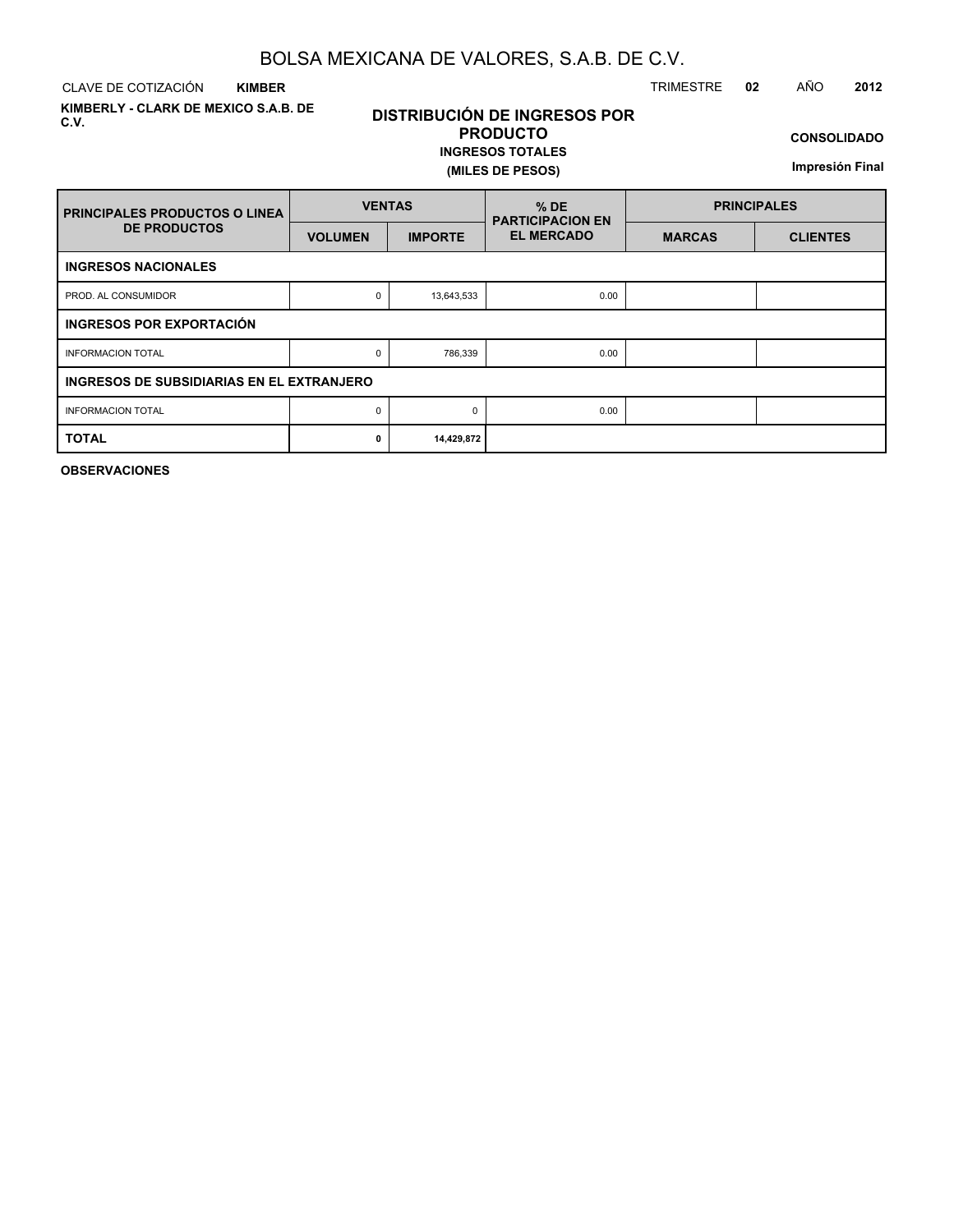CLAVE DE COTIZACIÓN TRIMESTRE **02** AÑO **2012 KIMBER**

**KIMBERLY - CLARK DE MEXICO S.A.B. DE C.V.**

### **DISTRIBUCIÓN DE INGRESOS POR PRODUCTO**

**INGRESOS TOTALES (MILES DE PESOS)**

**CONSOLIDADO**

**Impresión Final**

| <b>PRINCIPALES PRODUCTOS O LINEA</b>      | <b>VENTAS</b>  |                | $%$ DE<br><b>PARTICIPACION EN</b> | <b>PRINCIPALES</b> |                 |  |  |  |  |  |  |
|-------------------------------------------|----------------|----------------|-----------------------------------|--------------------|-----------------|--|--|--|--|--|--|
| <b>DE PRODUCTOS</b>                       | <b>VOLUMEN</b> | <b>IMPORTE</b> | <b>EL MERCADO</b>                 | <b>MARCAS</b>      | <b>CLIENTES</b> |  |  |  |  |  |  |
| <b>INGRESOS NACIONALES</b>                |                |                |                                   |                    |                 |  |  |  |  |  |  |
| PROD. AL CONSUMIDOR                       | 0              | 13,643,533     | 0.00                              |                    |                 |  |  |  |  |  |  |
| INGRESOS POR EXPORTACIÓN                  |                |                |                                   |                    |                 |  |  |  |  |  |  |
| <b>INFORMACION TOTAL</b>                  | 0              | 786,339        | 0.00                              |                    |                 |  |  |  |  |  |  |
| INGRESOS DE SUBSIDIARIAS EN EL EXTRANJERO |                |                |                                   |                    |                 |  |  |  |  |  |  |
| <b>INFORMACION TOTAL</b>                  | 0<br>$\Omega$  |                | 0.00                              |                    |                 |  |  |  |  |  |  |
| <b>TOTAL</b>                              | 0              | 14,429,872     |                                   |                    |                 |  |  |  |  |  |  |

**OBSERVACIONES**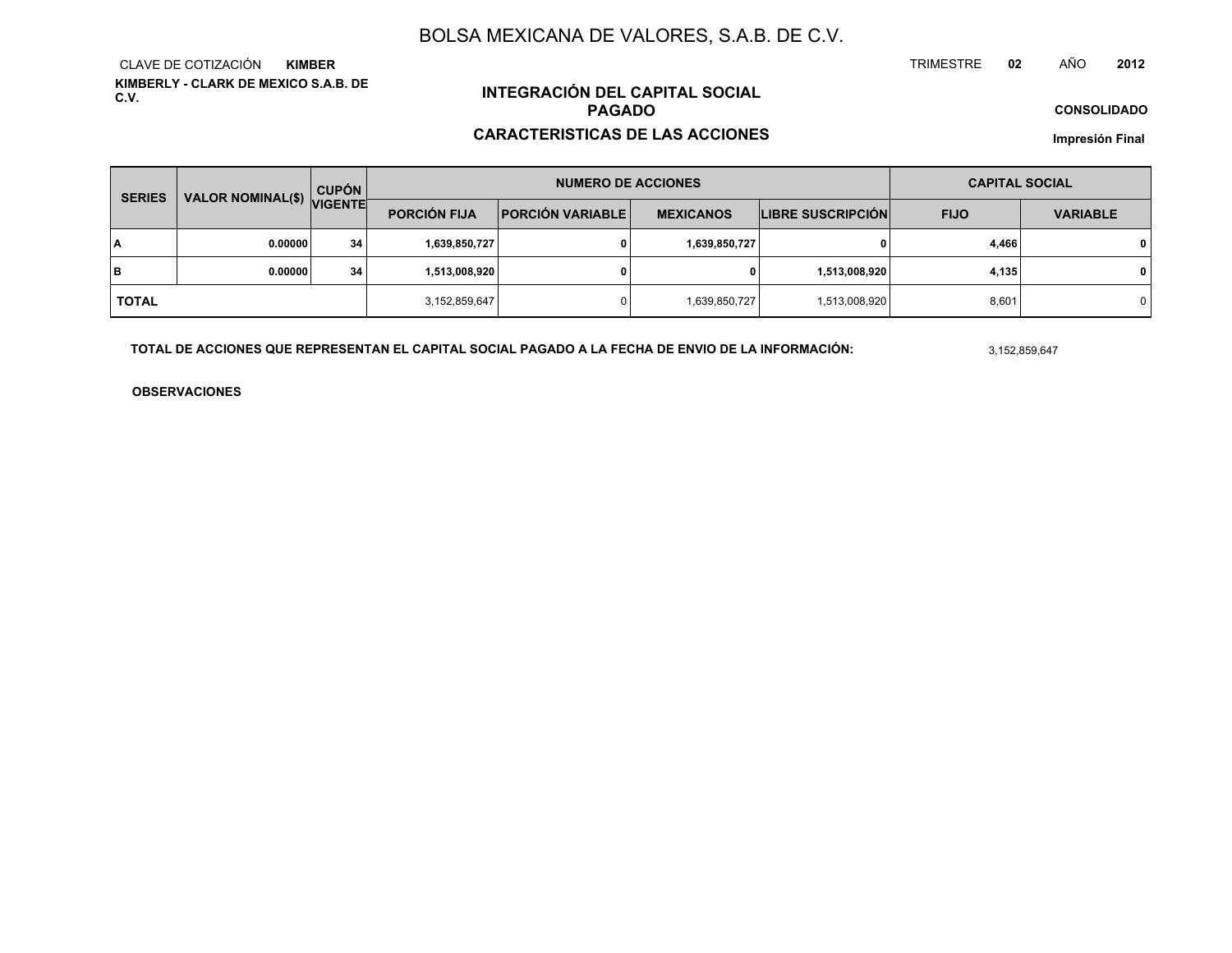**KIMBERLY - CLARK DE MEXICO S.A.B. DE C.V.**CLAVE DE COTIZACIÓN**KIMBER**

### **INTEGRACIÓN DEL CAPITAL SOCIALPAGADO**

#### **CARACTERISTICAS DE LAS ACCIONES**

**CONSOLIDADO**

**Impresión Final**

| <b>SERIES</b> | VALOR NOMINAL(\$) VIGENTE | <b>CUPÓN</b> |                     | <b>NUMERO DE ACCIONES</b> | <b>CAPITAL SOCIAL</b> |                          |             |                 |
|---------------|---------------------------|--------------|---------------------|---------------------------|-----------------------|--------------------------|-------------|-----------------|
|               |                           |              | <b>PORCIÓN FIJA</b> | <b>PORCIÓN VARIABLE  </b> | <b>MEXICANOS</b>      | <b>LIBRE SUSCRIPCIÓN</b> | <b>FIJO</b> | <b>VARIABLE</b> |
| ١A            | 0.00000                   | 34           | 1,639,850,727       |                           | 1,639,850,727         | 0                        | 4,466       | 0               |
| lв            | 0.00000                   | 34           | 1,513,008,920       |                           | 0                     | 1,513,008,920            | 4,135       | 0               |
| <b>TOTAL</b>  |                           |              | 3,152,859,647       |                           | 1,639,850,727         | 1,513,008,920            | 8,601       | $\Omega$        |

**TOTAL DE ACCIONES QUE REPRESENTAN EL CAPITAL SOCIAL PAGADO A LA FECHA DE ENVIO DE LA INFORMACIÓN:**

3,152,859,647

TRIMESTRE

**OBSERVACIONES**

 **<sup>02</sup>** AÑO**<sup>2012</sup>**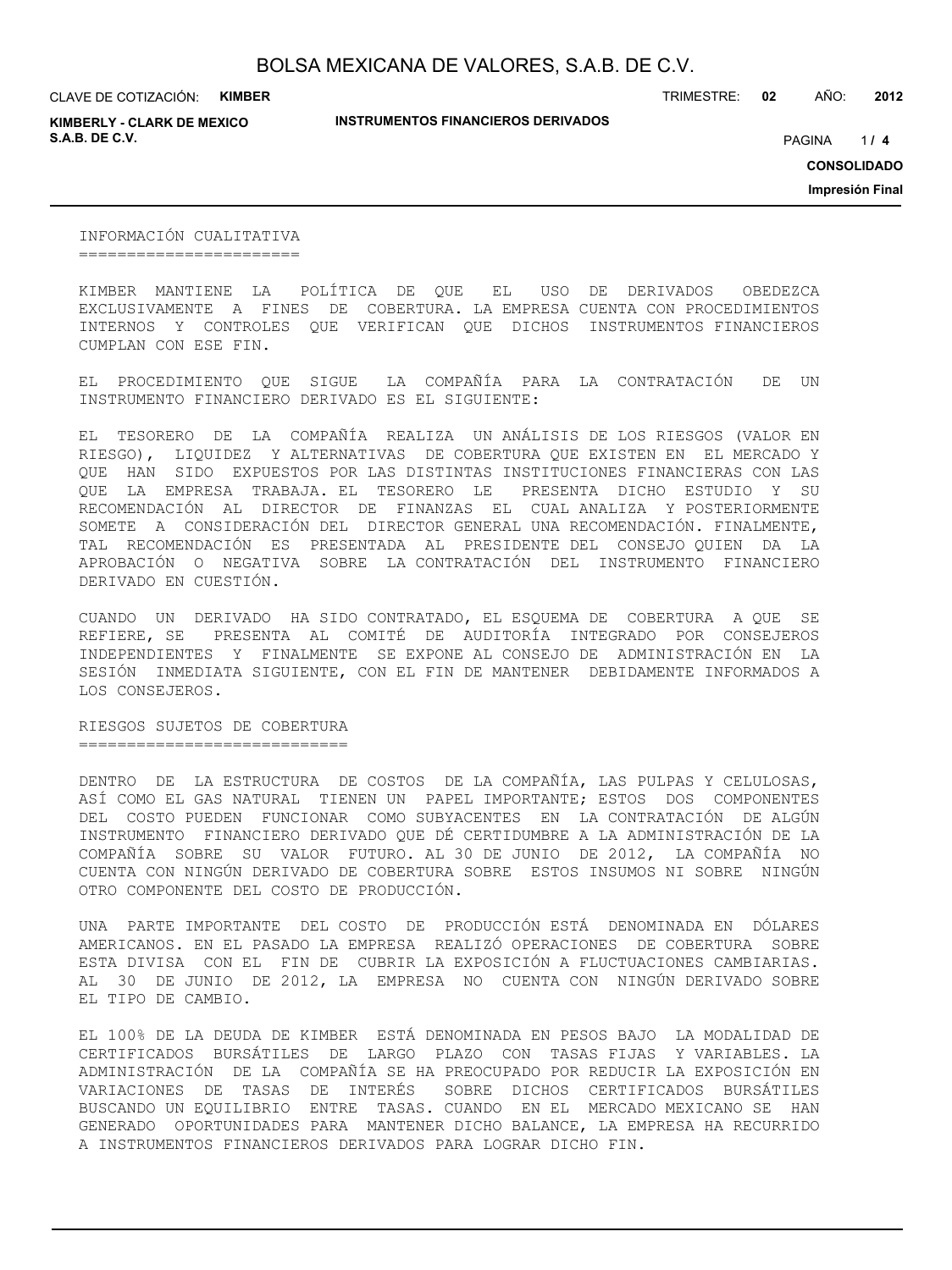CLAVE DE COTIZACIÓN: **KIMBER**

**KIMBERLY - CLARK DE MEXICO S.A.B. DE C.V.** *A* **PAGINA <b>***11* **<b>4 PAGINA** *4 PAGINA <i>4 PAGINA 4 PAGINA 4 PAGINA <i>4 PAGINA*

**INSTRUMENTOS FINANCIEROS DERIVADOS**

TRIMESTRE: **02** AÑO: **2012**

 $1/4$ 

**CONSOLIDADO**

**Impresión Final**

INFORMACIÓN CUALITATIVA =======================

KIMBER MANTIENE LA POLÍTICA DE QUE EL USO DE DERIVADOS OBEDEZCA EXCLUSIVAMENTE A FINES DE COBERTURA. LA EMPRESA CUENTA CON PROCEDIMIENTOS INTERNOS Y CONTROLES QUE VERIFICAN QUE DICHOS INSTRUMENTOS FINANCIEROS CUMPLAN CON ESE FIN.

EL PROCEDIMIENTO QUE SIGUE LA COMPAÑÍA PARA LA CONTRATACIÓN DE UN INSTRUMENTO FINANCIERO DERIVADO ES EL SIGUIENTE:

EL TESORERO DE LA COMPAÑÍA REALIZA UN ANÁLISIS DE LOS RIESGOS (VALOR EN RIESGO), LIQUIDEZ Y ALTERNATIVAS DE COBERTURA QUE EXISTEN EN EL MERCADO Y QUE HAN SIDO EXPUESTOS POR LAS DISTINTAS INSTITUCIONES FINANCIERAS CON LAS QUE LA EMPRESA TRABAJA. EL TESORERO LE PRESENTA DICHO ESTUDIO Y SU RECOMENDACIÓN AL DIRECTOR DE FINANZAS EL CUAL ANALIZA Y POSTERIORMENTE SOMETE A CONSIDERACIÓN DEL DIRECTOR GENERAL UNA RECOMENDACIÓN. FINALMENTE, TAL RECOMENDACIÓN ES PRESENTADA AL PRESIDENTE DEL CONSEJO QUIEN DA LA APROBACIÓN O NEGATIVA SOBRE LA CONTRATACIÓN DEL INSTRUMENTO FINANCIERO DERIVADO EN CUESTIÓN.

CUANDO UN DERIVADO HA SIDO CONTRATADO, EL ESQUEMA DE COBERTURA A QUE SE REFIERE, SE PRESENTA AL COMITÉ DE AUDITORÍA INTEGRADO POR CONSEJEROS INDEPENDIENTES Y FINALMENTE SE EXPONE AL CONSEJO DE ADMINISTRACIÓN EN LA SESIÓN INMEDIATA SIGUIENTE, CON EL FIN DE MANTENER DEBIDAMENTE INFORMADOS A LOS CONSEJEROS.

RIESGOS SUJETOS DE COBERTURA ============================

DENTRO DE LA ESTRUCTURA DE COSTOS DE LA COMPAÑÍA, LAS PULPAS Y CELULOSAS, ASÍ COMO EL GAS NATURAL TIENEN UN PAPEL IMPORTANTE; ESTOS DOS COMPONENTES DEL COSTO PUEDEN FUNCIONAR COMO SUBYACENTES EN LA CONTRATACIÓN DE ALGÚN INSTRUMENTO FINANCIERO DERIVADO QUE DÉ CERTIDUMBRE A LA ADMINISTRACIÓN DE LA COMPAÑÍA SOBRE SU VALOR FUTURO. AL 30 DE JUNIO DE 2012, LA COMPAÑÍA NO CUENTA CON NINGÚN DERIVADO DE COBERTURA SOBRE ESTOS INSUMOS NI SOBRE NINGÚN OTRO COMPONENTE DEL COSTO DE PRODUCCIÓN.

UNA PARTE IMPORTANTE DEL COSTO DE PRODUCCIÓN ESTÁ DENOMINADA EN DÓLARES AMERICANOS. EN EL PASADO LA EMPRESA REALIZÓ OPERACIONES DE COBERTURA SOBRE ESTA DIVISA CON EL FIN DE CUBRIR LA EXPOSICIÓN A FLUCTUACIONES CAMBIARIAS. AL 30 DE JUNIO DE 2012, LA EMPRESA NO CUENTA CON NINGÚN DERIVADO SOBRE EL TIPO DE CAMBIO.

EL 100% DE LA DEUDA DE KIMBER ESTÁ DENOMINADA EN PESOS BAJO LA MODALIDAD DE CERTIFICADOS BURSÁTILES DE LARGO PLAZO CON TASAS FIJAS Y VARIABLES. LA ADMINISTRACIÓN DE LA COMPAÑÍA SE HA PREOCUPADO POR REDUCIR LA EXPOSICIÓN EN VARIACIONES DE TASAS DE INTERÉS SOBRE DICHOS CERTIFICADOS BURSÁTILES BUSCANDO UN EQUILIBRIO ENTRE TASAS. CUANDO EN EL MERCADO MEXICANO SE HAN GENERADO OPORTUNIDADES PARA MANTENER DICHO BALANCE, LA EMPRESA HA RECURRIDO A INSTRUMENTOS FINANCIEROS DERIVADOS PARA LOGRAR DICHO FIN.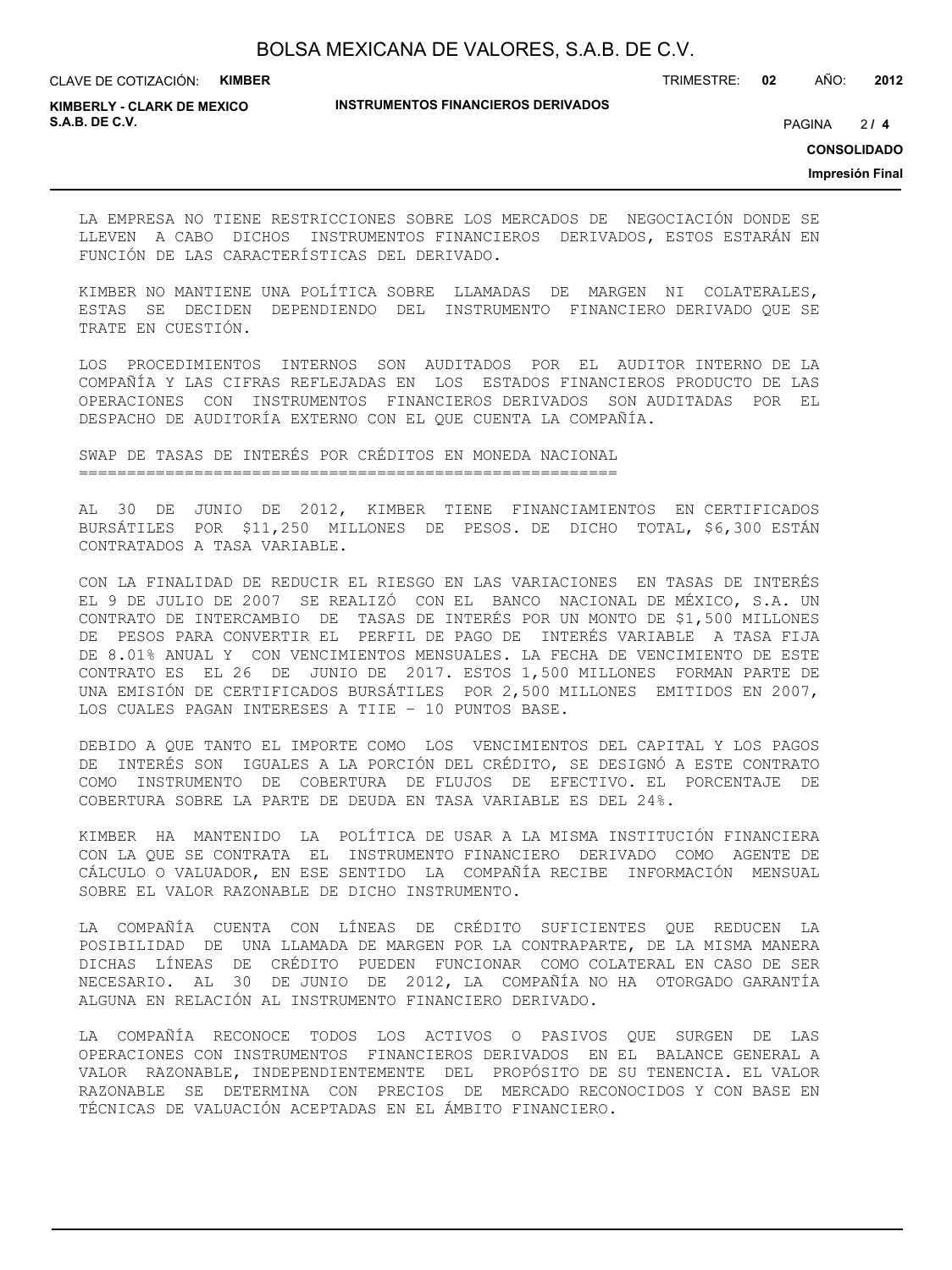CLAVE DE COTIZACIÓN: **KIMBER**

**INSTRUMENTOS FINANCIEROS DERIVADOS**

TRIMESTRE: **02** AÑO: **2012**

**KIMBERLY - CLARK DE MEXICO S.A.B. DE C.V.** PAGINA **/ 4**

 $214$ 

**CONSOLIDADO**

**Impresión Final**

LA EMPRESA NO TIENE RESTRICCIONES SOBRE LOS MERCADOS DE NEGOCIACIÓN DONDE SE LLEVEN A CABO DICHOS INSTRUMENTOS FINANCIEROS DERIVADOS, ESTOS ESTARÁN EN FUNCIÓN DE LAS CARACTERÍSTICAS DEL DERIVADO.

KIMBER NO MANTIENE UNA POLÍTICA SOBRE LLAMADAS DE MARGEN NI COLATERALES, ESTAS SE DECIDEN DEPENDIENDO DEL INSTRUMENTO FINANCIERO DERIVADO QUE SE TRATE EN CUESTIÓN.

LOS PROCEDIMIENTOS INTERNOS SON AUDITADOS POR EL AUDITOR INTERNO DE LA COMPAÑÍA Y LAS CIFRAS REFLEJADAS EN LOS ESTADOS FINANCIEROS PRODUCTO DE LAS OPERACIONES CON INSTRUMENTOS FINANCIEROS DERIVADOS SON AUDITADAS POR EL DESPACHO DE AUDITORÍA EXTERNO CON EL QUE CUENTA LA COMPAÑÍA.

SWAP DE TASAS DE INTERÉS POR CRÉDITOS EN MONEDA NACIONAL ========================================================

AL 30 DE JUNIO DE 2012, KIMBER TIENE FINANCIAMIENTOS EN CERTIFICADOS BURSÁTILES POR \$11,250 MILLONES DE PESOS. DE DICHO TOTAL, \$6,300 ESTÁN CONTRATADOS A TASA VARIABLE.

CON LA FINALIDAD DE REDUCIR EL RIESGO EN LAS VARIACIONES EN TASAS DE INTERÉS EL 9 DE JULIO DE 2007 SE REALIZÓ CON EL BANCO NACIONAL DE MÉXICO, S.A. UN CONTRATO DE INTERCAMBIO DE TASAS DE INTERÉS POR UN MONTO DE \$1,500 MILLONES DE PESOS PARA CONVERTIR EL PERFIL DE PAGO DE INTERÉS VARIABLE A TASA FIJA DE 8.01% ANUAL Y CON VENCIMIENTOS MENSUALES. LA FECHA DE VENCIMIENTO DE ESTE CONTRATO ES EL 26 DE JUNIO DE 2017. ESTOS 1,500 MILLONES FORMAN PARTE DE UNA EMISIÓN DE CERTIFICADOS BURSÁTILES POR 2,500 MILLONES EMITIDOS EN 2007, LOS CUALES PAGAN INTERESES A TIIE – 10 PUNTOS BASE.

DEBIDO A QUE TANTO EL IMPORTE COMO LOS VENCIMIENTOS DEL CAPITAL Y LOS PAGOS DE INTERÉS SON IGUALES A LA PORCIÓN DEL CRÉDITO, SE DESIGNÓ A ESTE CONTRATO COMO INSTRUMENTO DE COBERTURA DE FLUJOS DE EFECTIVO. EL PORCENTAJE DE COBERTURA SOBRE LA PARTE DE DEUDA EN TASA VARIABLE ES DEL 24%.

KIMBER HA MANTENIDO LA POLÍTICA DE USAR A LA MISMA INSTITUCIÓN FINANCIERA CON LA QUE SE CONTRATA EL INSTRUMENTO FINANCIERO DERIVADO COMO AGENTE DE CÁLCULO O VALUADOR, EN ESE SENTIDO LA COMPAÑÍA RECIBE INFORMACIÓN MENSUAL SOBRE EL VALOR RAZONABLE DE DICHO INSTRUMENTO.

LA COMPAÑÍA CUENTA CON LÍNEAS DE CRÉDITO SUFICIENTES QUE REDUCEN LA POSIBILIDAD DE UNA LLAMADA DE MARGEN POR LA CONTRAPARTE, DE LA MISMA MANERA DICHAS LÍNEAS DE CRÉDITO PUEDEN FUNCIONAR COMO COLATERAL EN CASO DE SER NECESARIO. AL 30 DE JUNIO DE 2012, LA COMPAÑÍA NO HA OTORGADO GARANTÍA ALGUNA EN RELACIÓN AL INSTRUMENTO FINANCIERO DERIVADO.

LA COMPAÑÍA RECONOCE TODOS LOS ACTIVOS O PASIVOS QUE SURGEN DE LAS OPERACIONES CON INSTRUMENTOS FINANCIEROS DERIVADOS EN EL BALANCE GENERAL A VALOR RAZONABLE, INDEPENDIENTEMENTE DEL PROPÓSITO DE SU TENENCIA. EL VALOR RAZONABLE SE DETERMINA CON PRECIOS DE MERCADO RECONOCIDOS Y CON BASE EN TÉCNICAS DE VALUACIÓN ACEPTADAS EN EL ÁMBITO FINANCIERO.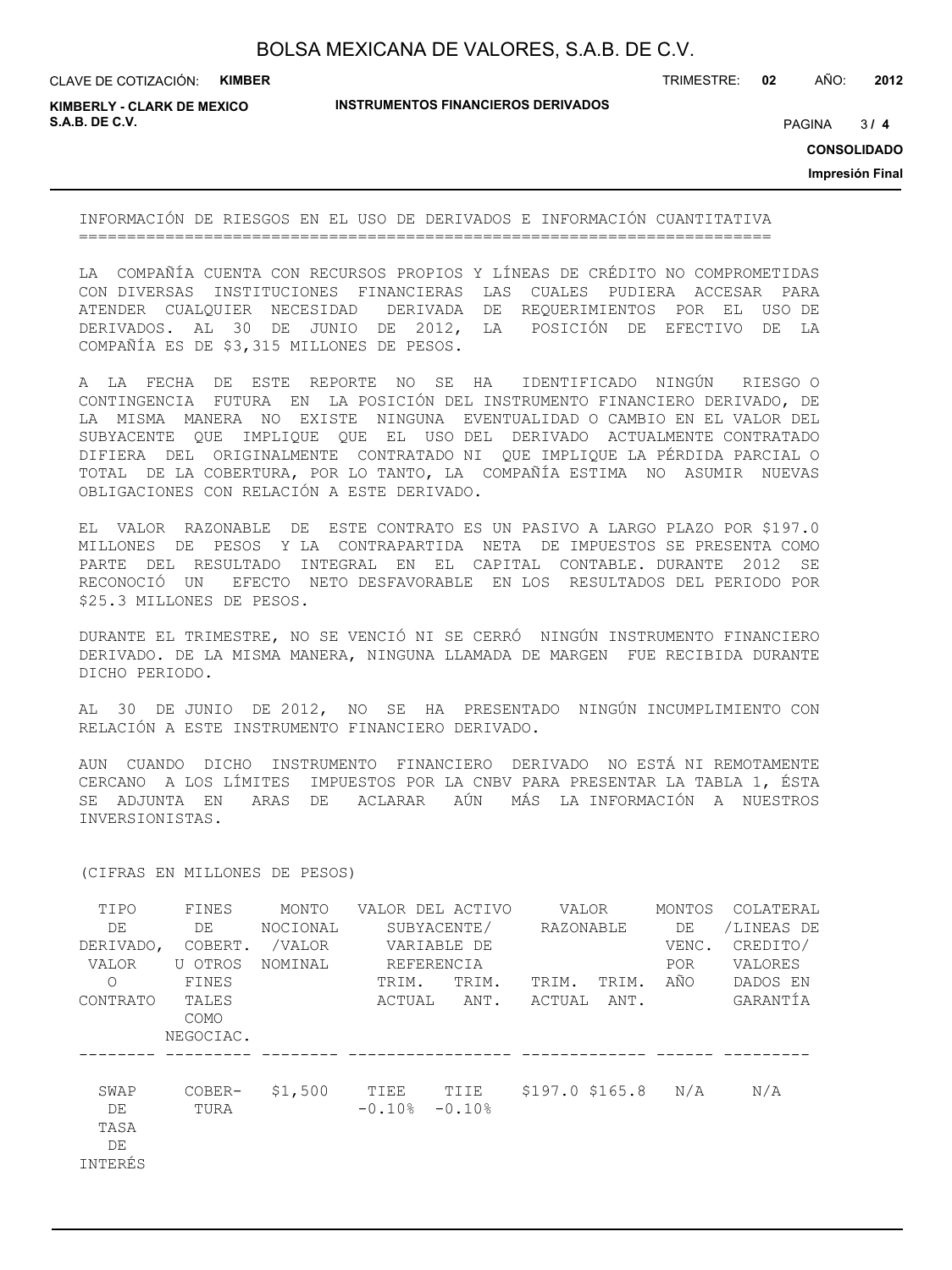CLAVE DE COTIZACIÓN: **KIMBER**

**INSTRUMENTOS FINANCIEROS DERIVADOS**

TRIMESTRE: **02** AÑO: **2012**

**KIMBERLY - CLARK DE MEXICO S.A.B. DE C.V.** PAGINA **/ 4**

 $3/4$ 

**CONSOLIDADO**

**Impresión Final**

INFORMACIÓN DE RIESGOS EN EL USO DE DERIVADOS E INFORMACIÓN CUANTITATIVA ========================================================================

LA COMPAÑÍA CUENTA CON RECURSOS PROPIOS Y LÍNEAS DE CRÉDITO NO COMPROMETIDAS CON DIVERSAS INSTITUCIONES FINANCIERAS LAS CUALES PUDIERA ACCESAR PARA ATENDER CUALQUIER NECESIDAD DERIVADA DE REQUERIMIENTOS POR EL USO DE DERIVADOS. AL 30 DE JUNIO DE 2012, LA POSICIÓN DE EFECTIVO DE LA COMPAÑÍA ES DE \$3,315 MILLONES DE PESOS.

A LA FECHA DE ESTE REPORTE NO SE HA IDENTIFICADO NINGÚN RIESGO O CONTINGENCIA FUTURA EN LA POSICIÓN DEL INSTRUMENTO FINANCIERO DERIVADO, DE LA MISMA MANERA NO EXISTE NINGUNA EVENTUALIDAD O CAMBIO EN EL VALOR DEL SUBYACENTE QUE IMPLIQUE QUE EL USO DEL DERIVADO ACTUALMENTE CONTRATADO DIFIERA DEL ORIGINALMENTE CONTRATADO NI QUE IMPLIQUE LA PÉRDIDA PARCIAL O TOTAL DE LA COBERTURA, POR LO TANTO, LA COMPAÑÍA ESTIMA NO ASUMIR NUEVAS OBLIGACIONES CON RELACIÓN A ESTE DERIVADO.

EL VALOR RAZONABLE DE ESTE CONTRATO ES UN PASIVO A LARGO PLAZO POR \$197.0 MILLONES DE PESOS Y LA CONTRAPARTIDA NETA DE IMPUESTOS SE PRESENTA COMO PARTE DEL RESULTADO INTEGRAL EN EL CAPITAL CONTABLE. DURANTE 2012 SE RECONOCIÓ UN EFECTO NETO DESFAVORABLE EN LOS RESULTADOS DEL PERIODO POR \$25.3 MILLONES DE PESOS.

DURANTE EL TRIMESTRE, NO SE VENCIÓ NI SE CERRÓ NINGÚN INSTRUMENTO FINANCIERO DERIVADO. DE LA MISMA MANERA, NINGUNA LLAMADA DE MARGEN FUE RECIBIDA DURANTE DICHO PERIODO.

AL 30 DE JUNIO DE 2012, NO SE HA PRESENTADO NINGÚN INCUMPLIMIENTO CON RELACIÓN A ESTE INSTRUMENTO FINANCIERO DERIVADO.

AUN CUANDO DICHO INSTRUMENTO FINANCIERO DERIVADO NO ESTÁ NI REMOTAMENTE CERCANO A LOS LÍMITES IMPUESTOS POR LA CNBV PARA PRESENTAR LA TABLA 1, ÉSTA SE ADJUNTA EN ARAS DE ACLARAR AÚN MÁS LA INFORMACIÓN A NUESTROS INVERSIONISTAS.

| TIPO<br>DE<br>DERIVADO,<br>VALOR<br>$\Omega$<br>CONTRATO | FINES<br>DE<br>COBERT.<br>U OTROS<br>FINES<br>TALES<br><b>COMO</b><br>NEGOCIAC. | MONTO<br>NOCIONAL<br>/VALOR<br>NOMINAL | TRIM.<br>ACTUAL  | VALOR DEL ACTIVO<br>SUBYACENTE/<br>VARIABLE DE<br>REFERENCIA<br>TRIM.<br>ANT. | VALOR<br>RAZONABLE<br>TRIM.<br>ACTUAL | TRIM.<br>ANT. | MONTOS<br>DE<br>VENC.<br>POR.<br>AÑO | COLATERAL<br>/LINEAS DE<br>CREDITO/<br>VALORES<br>DADOS EN<br>GARANTÍA |
|----------------------------------------------------------|---------------------------------------------------------------------------------|----------------------------------------|------------------|-------------------------------------------------------------------------------|---------------------------------------|---------------|--------------------------------------|------------------------------------------------------------------------|
| SWAP<br>DE<br>TASA<br>DE<br>INTERÉS                      | COBER-<br>TURA                                                                  | \$1,500                                | TIEE<br>$-0.10%$ | TIIE<br>$-0.10%$                                                              | $$197.0$ \$165.8                      |               | N/A                                  | N/A                                                                    |

(CIFRAS EN MILLONES DE PESOS)